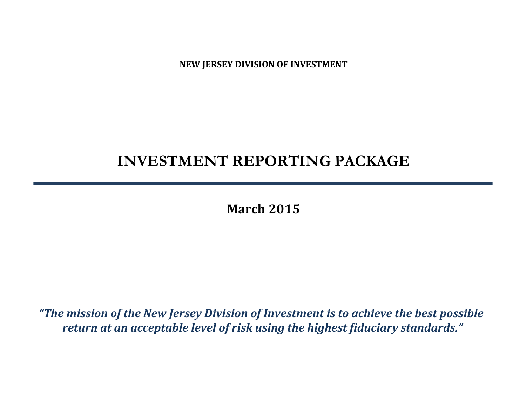**NEW JERSEY DIVISION OF INVESTMENT**

# **INVESTMENT REPORTING PACKAGE**

**March 2015**

*"The mission of the New Jersey Division of Investment is to achieve the best possible return at an acceptable level of risk using the highest fiduciary standards."*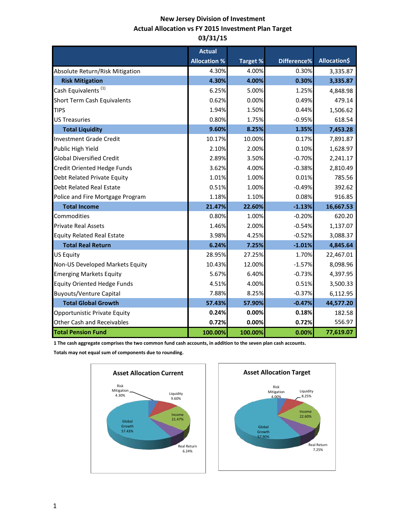# **New Jersey Division of Investment Actual Allocation vs FY 2015 Investment Plan Target 03/31/15**

|                                    | <b>Actual</b>       |                 |             |                     |
|------------------------------------|---------------------|-----------------|-------------|---------------------|
|                                    | <b>Allocation %</b> | <b>Target %</b> | Difference% | <b>Allocation\$</b> |
| Absolute Return/Risk Mitigation    | 4.30%               | 4.00%           | 0.30%       | 3,335.87            |
| <b>Risk Mitigation</b>             | 4.30%               | 4.00%           | 0.30%       | 3,335.87            |
| Cash Equivalents <sup>(1)</sup>    | 6.25%               | 5.00%           | 1.25%       | 4,848.98            |
| Short Term Cash Equivalents        | 0.62%               | 0.00%           | 0.49%       | 479.14              |
| <b>TIPS</b>                        | 1.94%               | 1.50%           | 0.44%       | 1,506.62            |
| <b>US Treasuries</b>               | 0.80%               | 1.75%           | $-0.95%$    | 618.54              |
| <b>Total Liquidity</b>             | 9.60%               | 8.25%           | 1.35%       | 7,453.28            |
| <b>Investment Grade Credit</b>     | 10.17%              | 10.00%          | 0.17%       | 7,891.87            |
| Public High Yield                  | 2.10%               | 2.00%           | 0.10%       | 1,628.97            |
| <b>Global Diversified Credit</b>   | 2.89%               | 3.50%           | $-0.70%$    | 2,241.17            |
| <b>Credit Oriented Hedge Funds</b> | 3.62%               | 4.00%           | $-0.38%$    | 2,810.49            |
| Debt Related Private Equity        | 1.01%               | 1.00%           | 0.01%       | 785.56              |
| <b>Debt Related Real Estate</b>    | 0.51%               | 1.00%           | $-0.49%$    | 392.62              |
| Police and Fire Mortgage Program   | 1.18%               | 1.10%           | 0.08%       | 916.85              |
| <b>Total Income</b>                | 21.47%              | 22.60%          | $-1.13%$    | 16,667.53           |
| Commodities                        | 0.80%               | 1.00%           | $-0.20%$    | 620.20              |
| <b>Private Real Assets</b>         | 1.46%               | 2.00%           | $-0.54%$    | 1,137.07            |
| <b>Equity Related Real Estate</b>  | 3.98%               | 4.25%           | $-0.52%$    | 3,088.37            |
| <b>Total Real Return</b>           | 6.24%               | 7.25%           | $-1.01%$    | 4,845.64            |
| <b>US Equity</b>                   | 28.95%              | 27.25%          | 1.70%       | 22,467.01           |
| Non-US Developed Markets Equity    | 10.43%              | 12.00%          | $-1.57%$    | 8,098.96            |
| <b>Emerging Markets Equity</b>     | 5.67%               | 6.40%           | $-0.73%$    | 4,397.95            |
| <b>Equity Oriented Hedge Funds</b> | 4.51%               | 4.00%           | 0.51%       | 3,500.33            |
| <b>Buyouts/Venture Capital</b>     | 7.88%               | 8.25%           | $-0.37%$    | 6,112.95            |
| <b>Total Global Growth</b>         | 57.43%              | 57.90%          | $-0.47%$    | 44,577.20           |
| Opportunistic Private Equity       | 0.24%               | 0.00%           | 0.18%       | 182.58              |
| <b>Other Cash and Receivables</b>  | 0.72%               | 0.00%           | 0.72%       | 556.97              |
| <b>Total Pension Fund</b>          | 100.00%             | 100.00%         | 0.00%       | 77,619.07           |

**1 The cash aggregate comprises the two common fund cash accounts, in addition to the seven plan cash accounts.** 

**Totals may not equal sum of components due to rounding.**



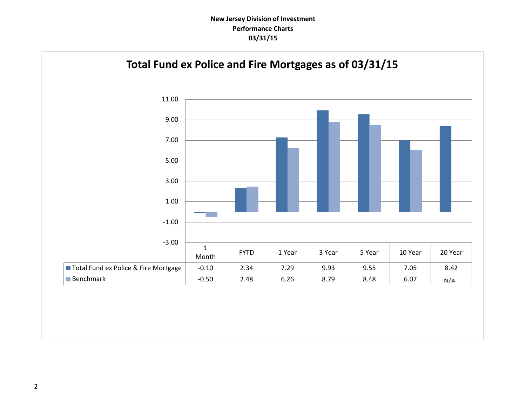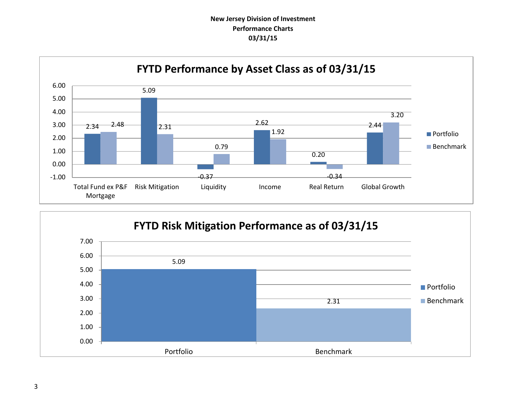

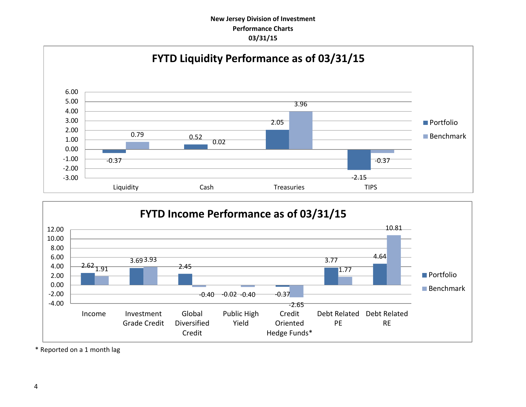



\* Reported on a 1 month lag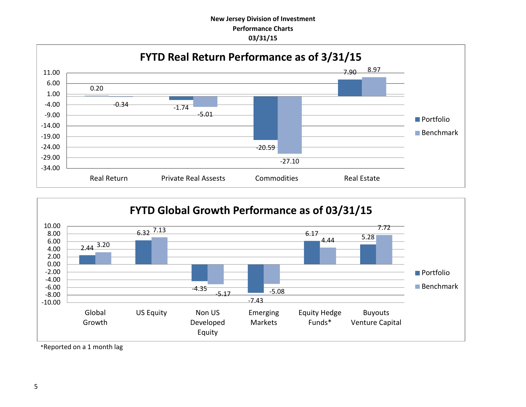



\*Reported on a 1 month lag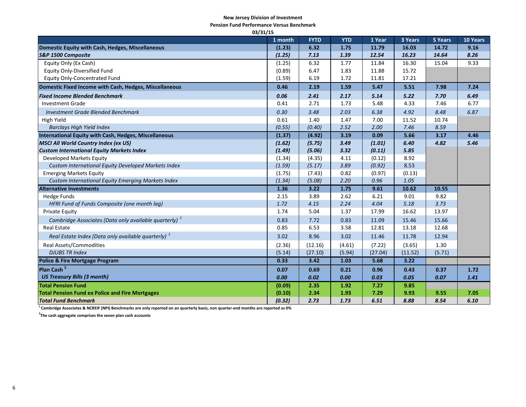#### **New Jersey Division of Investment**

**Pension Fund Performance Versus Benchmark**

| 03/31/15                                                          |         |             |            |         |         |         |          |
|-------------------------------------------------------------------|---------|-------------|------------|---------|---------|---------|----------|
|                                                                   | 1 month | <b>FYTD</b> | <b>YTD</b> | 1 Year  | 3 Years | 5 Years | 10 Years |
| Domestic Equity with Cash, Hedges, Miscellaneous                  | (1.23)  | 6.32        | 1.75       | 11.79   | 16.03   | 14.72   | 9.16     |
| S&P 1500 Composite                                                | (1.25)  | 7.13        | 1.39       | 12.54   | 16.23   | 14.64   | 8.26     |
| Equity Only (Ex Cash)                                             | (1.25)  | 6.32        | 1.77       | 11.84   | 16.30   | 15.04   | 9.33     |
| <b>Equity Only-Diversified Fund</b>                               | (0.89)  | 6.47        | 1.83       | 11.88   | 15.72   |         |          |
| <b>Equity Only-Concentrated Fund</b>                              | (1.59)  | 6.19        | 1.72       | 11.81   | 17.21   |         |          |
| Domestic Fixed Income with Cash, Hedges, Miscellaneous            | 0.46    | 2.19        | 1.59       | 5.47    | 5.51    | 7.98    | 7.24     |
| <b>Fixed Income Blended Benchmark</b>                             | 0.06    | 2.41        | 2.17       | 5.14    | 5.22    | 7.70    | 6.49     |
| <b>Investment Grade</b>                                           | 0.41    | 2.71        | 1.73       | 5.48    | 4.33    | 7.46    | 6.77     |
| <b>Investment Grade Blended Benchmark</b>                         | 0.30    | 3.48        | 2.03       | 6.38    | 4.92    | 8.48    | 6.87     |
| High Yield                                                        | 0.61    | 1.40        | 1.47       | 7.00    | 11.52   | 10.74   |          |
| <b>Barclays High Yield Index</b>                                  | (0.55)  | (0.40)      | 2.52       | 2.00    | 7.46    | 8.59    |          |
| International Equity with Cash, Hedges, Miscellaneous             | (1.37)  | (4.92)      | 3.19       | 0.09    | 5.66    | 3.17    | 4.46     |
| <b>MSCI All World Country Index (ex US)</b>                       | (1.62)  | (5.75)      | 3.49       | (1.01)  | 6.40    | 4.82    | 5.46     |
| <b>Custom International Equity Markets Index</b>                  | (1.49)  | (5.06)      | 3.32       | (0.11)  | 5.85    |         |          |
| Developed Markets Equity                                          | (1.34)  | (4.35)      | 4.11       | (0.12)  | 8.92    |         |          |
| Custom International Equity Developed Markets Index               | (1.59)  | (5.17)      | 3.89       | (0.92)  | 8.53    |         |          |
| <b>Emerging Markets Equity</b>                                    | (1.75)  | (7.43)      | 0.82       | (0.97)  | (0.13)  |         |          |
| <b>Custom International Equity Emerging Markets Index</b>         | (1.34)  | (5.08)      | 2.20       | 0.96    | 1.05    |         |          |
| <b>Alternative Investments</b>                                    | 1.36    | 3.22        | 1.75       | 9.61    | 10.62   | 10.55   |          |
| <b>Hedge Funds</b>                                                | 2.15    | 3.89        | 2.62       | 6.21    | 9.01    | 9.82    |          |
| HFRI Fund of Funds Composite (one month lag)                      | 1.72    | 4.15        | 2.24       | 4.04    | 5.18    | 3.73    |          |
| <b>Private Equity</b>                                             | 1.74    | 5.04        | 1.37       | 17.99   | 16.62   | 13.97   |          |
| Cambridge Associates (Data only available quarterly) <sup>1</sup> | 0.83    | 7.72        | 0.83       | 11.09   | 15.46   | 15.66   |          |
| <b>Real Estate</b>                                                | 0.85    | 6.53        | 3.58       | 12.81   | 13.18   | 12.68   |          |
| Real Estate Index (Data only available quarterly) <sup>1</sup>    | 3.02    | 8.96        | 3.02       | 11.46   | 11.78   | 12.94   |          |
| <b>Real Assets/Commodities</b>                                    | (2.36)  | (12.16)     | (4.61)     | (7.22)  | (3.65)  | 1.30    |          |
| <b>DJUBS TR Index</b>                                             | (5.14)  | (27.10)     | (5.94)     | (27.04) | (11.52) | (5.71)  |          |
| <b>Police &amp; Fire Mortgage Program</b>                         | 0.33    | 3.42        | 1.03       | 5.68    | 3.22    |         |          |
| Plan Cash <sup>2</sup>                                            | 0.07    | 0.69        | 0.21       | 0.96    | 0.43    | 0.37    | 1.72     |
| <b>US Treasury Bills (3 month)</b>                                | 0.00    | 0.02        | 0.00       | 0.03    | 0.05    | 0.07    | 1.41     |
| <b>Total Pension Fund</b>                                         | (0.09)  | 2.35        | 1.92       | 7.27    | 9.85    |         |          |
| <b>Total Pension Fund ex Police and Fire Mortgages</b>            | (0.10)  | 2.34        | 1.93       | 7.29    | 9.93    | 9.55    | 7.05     |
| <b>Total Fund Benchmark</b>                                       | (0.32)  | 2.73        | 1.73       | 6.51    | 8.88    | 8.54    | 6.10     |

**1 Cambridge Associates & NCREIF (NPI) Benchmarks are only reported on an quarterly basis, non quarter-end months are reported as 0%**

**2 The cash aggregate comprises the seven plan cash accounts**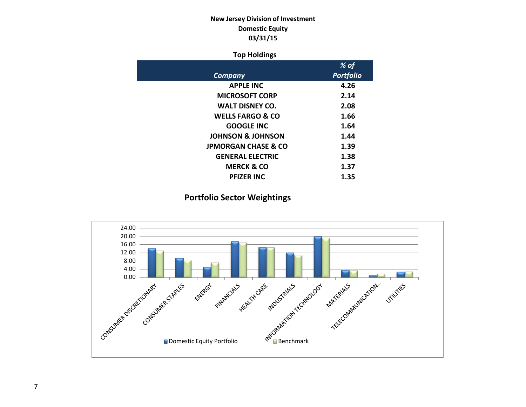# **New Jersey Division of Investment Domestic Equity 03/31/15**

## **Top Holdings**

|                                | % of             |
|--------------------------------|------------------|
| Company                        | <b>Portfolio</b> |
| <b>APPLE INC</b>               | 4.26             |
| <b>MICROSOFT CORP</b>          | 2.14             |
| <b>WALT DISNEY CO.</b>         | 2.08             |
| <b>WELLS FARGO &amp; CO</b>    | 1.66             |
| <b>GOOGLE INC</b>              | 1.64             |
| <b>JOHNSON &amp; JOHNSON</b>   | 1.44             |
| <b>JPMORGAN CHASE &amp; CO</b> | 1.39             |
| <b>GENERAL ELECTRIC</b>        | 1.38             |
| <b>MERCK &amp; CO</b>          | 1.37             |
| <b>PFIZER INC</b>              | 1.35             |

# **Portfolio Sector Weightings**

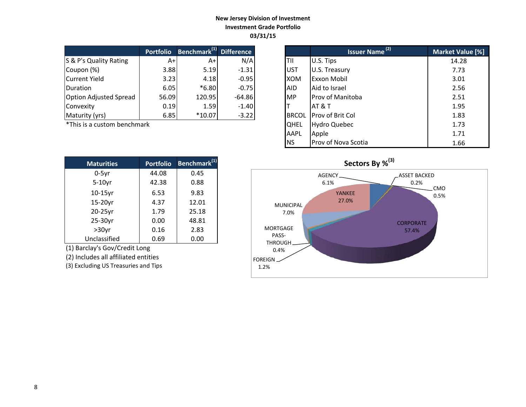## **New Jersey Division of Investment Investment Grade Portfolio 03/31/15**

|                               | <b>Portfolio</b> | Benchmark <sup>(1)</sup> Difference |          |            | <b>Issuer Name<sup>(2)</sup></b> | <b>Market Valu</b> |
|-------------------------------|------------------|-------------------------------------|----------|------------|----------------------------------|--------------------|
| S & P's Quality Rating        | $A+1$            | $A+I$                               | N/A      | ltii       | U.S. Tips                        | 14.28              |
| Coupon (%)                    | 3.88             | 5.19                                | $-1.31$  | <b>UST</b> | U.S. Treasury                    | 7.73               |
| Current Yield                 | 3.23             | 4.18                                | $-0.95$  | <b>XOM</b> | <b>Exxon Mobil</b>               | 3.01               |
| <b>Duration</b>               | 6.05             | $*6.80$                             | $-0.75$  | <b>AID</b> | Aid to Israel                    | 2.56               |
| <b>Option Adjusted Spread</b> | 56.09            | 120.95                              | $-64.86$ | <b>MP</b>  | <b>Prov of Manitoba</b>          | 2.51               |
| Convexity                     | 0.19             | 1.59                                | $-1.40$  |            | IAT & T                          | 1.95               |
| Maturity (yrs)                | 6.85             | $*10.07$                            | $-3.22$  |            | BRCOL Prov of Brit Col           | 1.83               |

 $*$ This is a custom benchmark

| <b>Maturities</b> | <b>Portfolio</b> | Benchmark <sup>(1)</sup> |
|-------------------|------------------|--------------------------|
| $0-5$ yr          | 44.08            | 0.45                     |
| $5-10$ yr         | 42.38            | 0.88                     |
| $10-15$ yr        | 6.53             | 9.83                     |
| 15-20yr           | 4.37             | 12.01                    |
| 20-25yr           | 1.79             | 25.18                    |
| 25-30yr           | 0.00             | 48.81                    |
| $>30$ yr          | 0.16             | 2.83                     |
| Unclassified      | 0.69             | 0.00                     |

(1) Barclay's Gov/Credit Long

(2) Includes all affiliated entities

(3) Excluding US Treasuries and Tips

| <b>Portfolio</b> | Benchmark <sup>(1)</sup> Difference |          |              | <b>Issuer Name</b> <sup>(2)</sup> | Market Value [%] |
|------------------|-------------------------------------|----------|--------------|-----------------------------------|------------------|
| $A+$             | $A+$                                | N/A      | TII          | U.S. Tips                         | 14.28            |
| 3.88             | 5.19                                | $-1.31$  | <b>UST</b>   | U.S. Treasury                     | 7.73             |
| 3.23             | 4.18                                | $-0.95$  | <b>XOM</b>   | Exxon Mobil                       | 3.01             |
| 6.05             | $*6.80$                             | $-0.75$  | <b>AID</b>   | Aid to Israel                     | 2.56             |
| 56.09            | 120.95                              | $-64.86$ | <b>MP</b>    | <b>Prov of Manitoba</b>           | 2.51             |
| 0.19             | 1.59                                | $-1.40$  |              | <b>AT &amp; T</b>                 | 1.95             |
| 6.85             | $*10.07$                            | $-3.22$  | <b>BRCOL</b> | Prov of Brit Col                  | 1.83             |
| ۰k               |                                     |          | <b>QHEL</b>  | <b>Hydro Quebec</b>               | 1.73             |
|                  |                                     |          | <b>AAPL</b>  | Apple                             | 1.71             |
|                  |                                     |          | <b>INS</b>   | Prov of Nova Scotia               | 1.66             |

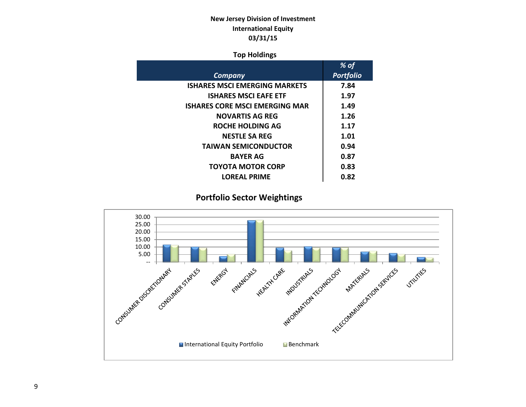# **New Jersey Division of Investment International Equity 03/31/15**

## **Top Holdings**

|                                       | % of             |
|---------------------------------------|------------------|
| Company                               | <b>Portfolio</b> |
| <b>ISHARES MSCI EMERGING MARKETS</b>  | 7.84             |
| <b>ISHARES MSCI EAFE ETF</b>          | 1.97             |
| <b>ISHARES CORE MSCI EMERGING MAR</b> | 1.49             |
| <b>NOVARTIS AG REG</b>                | 1.26             |
| ROCHE HOLDING AG                      | 1.17             |
| <b>NESTLE SA REG</b>                  | 1.01             |
| <b>TAIWAN SEMICONDUCTOR</b>           | 0.94             |
| <b>BAYER AG</b>                       | 0.87             |
| <b>TOYOTA MOTOR CORP</b>              | 0.83             |
| <b>LOREAL PRIME</b>                   | 0.82             |
|                                       |                  |

# **Portfolio Sector Weightings**

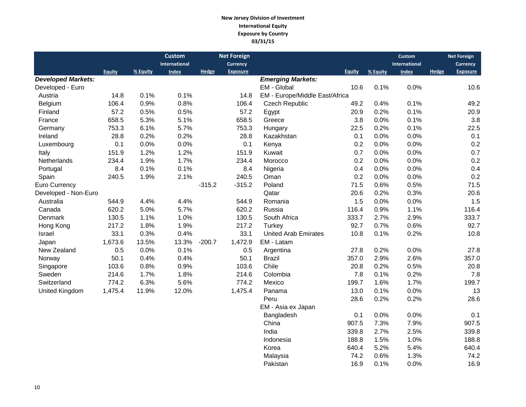#### **New Jersey Division of Investment International Equity Exposure by Country 03/31/15**

|                           |               |          | <b>Custom</b> |          | <b>Net Foreign</b> |                                |               |          | <b>Custom</b> |       | <b>Net Foreign</b> |
|---------------------------|---------------|----------|---------------|----------|--------------------|--------------------------------|---------------|----------|---------------|-------|--------------------|
|                           |               |          | International |          | <b>Currency</b>    |                                |               |          | International |       | <b>Currency</b>    |
|                           | <b>Equity</b> | % Equity | <b>Index</b>  | Hedge    | <b>Exposure</b>    |                                | <b>Equity</b> | % Equity | <b>Index</b>  | Hedge | <b>Exposure</b>    |
| <b>Developed Markets:</b> |               |          |               |          |                    | <b>Emerging Markets:</b>       |               |          |               |       |                    |
| Developed - Euro          |               |          |               |          |                    | EM - Global                    | 10.6          | 0.1%     | 0.0%          |       | 10.6               |
| Austria                   | 14.8          | 0.1%     | 0.1%          |          | 14.8               | EM - Europe/Middle East/Africa |               |          |               |       |                    |
| Belgium                   | 106.4         | 0.9%     | 0.8%          |          | 106.4              | <b>Czech Republic</b>          | 49.2          | 0.4%     | 0.1%          |       | 49.2               |
| Finland                   | 57.2          | 0.5%     | 0.5%          |          | 57.2               | Egypt                          | 20.9          | 0.2%     | 0.1%          |       | 20.9               |
| France                    | 658.5         | 5.3%     | 5.1%          |          | 658.5              | Greece                         | 3.8           | 0.0%     | 0.1%          |       | 3.8                |
| Germany                   | 753.3         | 6.1%     | 5.7%          |          | 753.3              | Hungary                        | 22.5          | 0.2%     | 0.1%          |       | 22.5               |
| Ireland                   | 28.8          | 0.2%     | 0.2%          |          | 28.8               | Kazakhstan                     | 0.1           | 0.0%     | 0.0%          |       | 0.1                |
| Luxembourg                | 0.1           | 0.0%     | 0.0%          |          | 0.1                | Kenya                          | 0.2           | 0.0%     | 0.0%          |       | 0.2                |
| Italy                     | 151.9         | 1.2%     | 1.2%          |          | 151.9              | Kuwait                         | 0.7           | 0.0%     | 0.0%          |       | 0.7                |
| Netherlands               | 234.4         | 1.9%     | 1.7%          |          | 234.4              | Morocco                        | 0.2           | 0.0%     | 0.0%          |       | 0.2                |
| Portugal                  | 8.4           | 0.1%     | 0.1%          |          | 8.4                | Nigeria                        | 0.4           | 0.0%     | 0.0%          |       | 0.4                |
| Spain                     | 240.5         | 1.9%     | 2.1%          |          | 240.5              | Oman                           | 0.2           | 0.0%     | 0.0%          |       | 0.2                |
| Euro Currency             |               |          |               | $-315.2$ | $-315.2$           | Poland                         | 71.5          | 0.6%     | 0.5%          |       | 71.5               |
| Developed - Non-Euro      |               |          |               |          |                    | Qatar                          | 20.6          | 0.2%     | 0.3%          |       | 20.6               |
| Australia                 | 544.9         | 4.4%     | 4.4%          |          | 544.9              | Romania                        | 1.5           | 0.0%     | 0.0%          |       | 1.5                |
| Canada                    | 620.2         | 5.0%     | 5.7%          |          | 620.2              | Russia                         | 116.4         | 0.9%     | 1.1%          |       | 116.4              |
| Denmark                   | 130.5         | 1.1%     | 1.0%          |          | 130.5              | South Africa                   | 333.7         | 2.7%     | 2.9%          |       | 333.7              |
| Hong Kong                 | 217.2         | 1.8%     | 1.9%          |          | 217.2              | Turkey                         | 92.7          | 0.7%     | 0.6%          |       | 92.7               |
| Israel                    | 33.1          | 0.3%     | 0.4%          |          | 33.1               | <b>United Arab Emirates</b>    | 10.8          | 0.1%     | 0.2%          |       | 10.8               |
| Japan                     | 1,673.6       | 13.5%    | 13.3%         | $-200.7$ | 1,472.9            | EM - Latam                     |               |          |               |       |                    |
| New Zealand               | 0.5           | 0.0%     | 0.1%          |          | 0.5                | Argentina                      | 27.8          | 0.2%     | 0.0%          |       | 27.8               |
| Norway                    | 50.1          | 0.4%     | 0.4%          |          | 50.1               | <b>Brazil</b>                  | 357.0         | 2.9%     | 2.6%          |       | 357.0              |
| Singapore                 | 103.6         | 0.8%     | 0.9%          |          | 103.6              | Chile                          | 20.8          | 0.2%     | 0.5%          |       | 20.8               |
| Sweden                    | 214.6         | 1.7%     | 1.8%          |          | 214.6              | Colombia                       | 7.8           | 0.1%     | 0.2%          |       | 7.8                |
| Switzerland               | 774.2         | 6.3%     | 5.6%          |          | 774.2              | Mexico                         | 199.7         | 1.6%     | 1.7%          |       | 199.7              |
| United Kingdom            | 1,475.4       | 11.9%    | 12.0%         |          | 1,475.4            | Panama                         | 13.0          | 0.1%     | 0.0%          |       | 13                 |
|                           |               |          |               |          |                    | Peru                           | 28.6          | 0.2%     | 0.2%          |       | 28.6               |
|                           |               |          |               |          |                    | EM - Asia ex Japan             |               |          |               |       |                    |
|                           |               |          |               |          |                    | Bangladesh                     | 0.1           | 0.0%     | 0.0%          |       | 0.1                |
|                           |               |          |               |          |                    | China                          | 907.5         | 7.3%     | 7.9%          |       | 907.5              |
|                           |               |          |               |          |                    | India                          | 339.8         | 2.7%     | 2.5%          |       | 339.8              |
|                           |               |          |               |          |                    | Indonesia                      | 188.8         | 1.5%     | 1.0%          |       | 188.8              |
|                           |               |          |               |          |                    | Korea                          | 640.4         | 5.2%     | 5.4%          |       | 640.4              |
|                           |               |          |               |          |                    | Malaysia                       | 74.2          | 0.6%     | 1.3%          |       | 74.2               |
|                           |               |          |               |          |                    | Pakistan                       | 16.9          | 0.1%     | 0.0%          |       | 16.9               |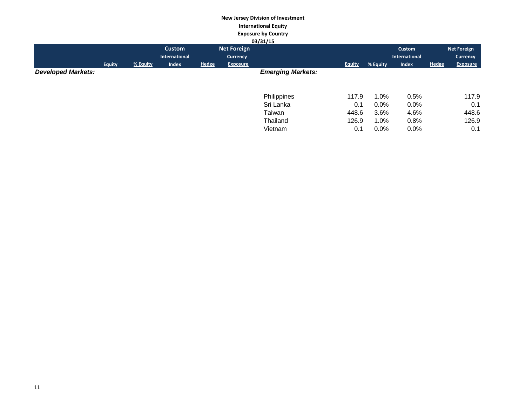#### **New Jersey Division of Investment International Equity Exposure by Country 03/31/15**

|                           |               |          |                      |              |                    | <b>US/31/13</b>          |               |          |                      |              |                    |
|---------------------------|---------------|----------|----------------------|--------------|--------------------|--------------------------|---------------|----------|----------------------|--------------|--------------------|
|                           |               |          | Custom               |              | <b>Net Foreign</b> |                          |               |          | Custom               |              | <b>Net Foreign</b> |
|                           |               |          | <b>International</b> |              | Currency           |                          |               |          | <b>International</b> |              | Currency           |
|                           | <b>Equity</b> | % Equity | <b>Index</b>         | <b>Hedge</b> | <b>Exposure</b>    |                          | <b>Equity</b> | % Equity | <b>Index</b>         | <b>Hedge</b> | <b>Exposure</b>    |
| <b>Developed Markets:</b> |               |          |                      |              |                    | <b>Emerging Markets:</b> |               |          |                      |              |                    |
|                           |               |          |                      |              |                    |                          |               |          |                      |              |                    |
|                           |               |          |                      |              |                    | Philippines              | 117.9         | 1.0%     | 0.5%                 |              | 117.9              |
|                           |               |          |                      |              |                    | Sri Lanka                | 0.1           | 0.0%     | 0.0%                 |              | 0.1                |
|                           |               |          |                      |              |                    | Taiwan                   | 448.6         | 3.6%     | 4.6%                 |              | 448.6              |
|                           |               |          |                      |              |                    | Thailand                 | 126.9         | 1.0%     | 0.8%                 |              | 126.9              |
|                           |               |          |                      |              |                    | Vietnam                  | 0.1           | 0.0%     | 0.0%                 |              | 0.1                |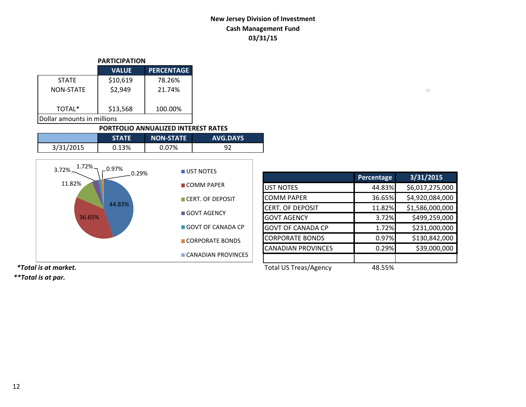# **New Jersey Division of Investment Cash Management Fund 03/31/15**

| <b>PARTICIPATION</b>          |              |                   |  |  |  |  |
|-------------------------------|--------------|-------------------|--|--|--|--|
|                               | <b>VALUE</b> | <b>PERCENTAGE</b> |  |  |  |  |
| <b>STATE</b>                  | \$10,619     | 78.26%            |  |  |  |  |
| NON-STATE                     | \$2,949      | 21.74%            |  |  |  |  |
| \$13,568<br>TOTAL*<br>100.00% |              |                   |  |  |  |  |
| Dollar amounts in millions    |              |                   |  |  |  |  |

#### **PORTFOLIO ANNUALIZED INTEREST RATES**

|           | <b>STATE</b> | <b>NON-STATE</b> | <b>AVG.DAYS</b> |
|-----------|--------------|------------------|-----------------|
| 3/31/2015 | 0.13%        | 0.07%            | ດາ              |



|                           | Percentage     | 3/31/2015       |
|---------------------------|----------------|-----------------|
| <b>UST NOTES</b>          | 44.83%         | \$6,017,275,000 |
| <b>COMM PAPER</b>         | 36.65%         | \$4,920,084,000 |
| CERT. OF DEPOSIT          | 11.82%         | \$1,586,000,000 |
| <b>GOVT AGENCY</b>        | 3.72%          | \$499,259,000   |
| <b>GOVT OF CANADA CP</b>  | 1.72%          | \$231,000,000   |
| <b>CORPORATE BONDS</b>    | 0.97%          | \$130,842,000   |
| <b>CANADIAN PROVINCES</b> | 0.29%          | \$39,000,000    |
|                           |                |                 |
| Total LIS Traze/Agancy    | <b>AQ EEO/</b> |                 |

 $\Box$ 

*\*\*Total is at par.*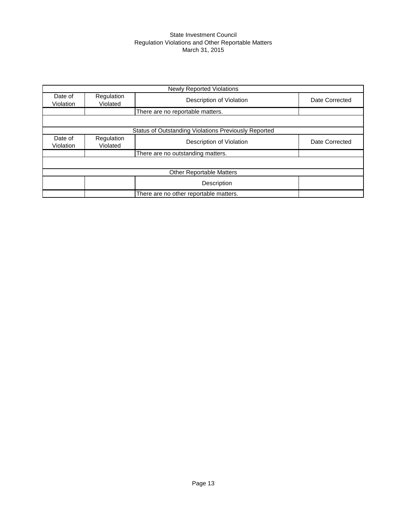#### State Investment Council Regulation Violations and Other Reportable Matters March 31, 2015

|                      |                        | <b>Newly Reported Violations</b>                     |                |
|----------------------|------------------------|------------------------------------------------------|----------------|
| Date of<br>Violation | Regulation<br>Violated | Description of Violation                             | Date Corrected |
|                      |                        | There are no reportable matters.                     |                |
|                      |                        |                                                      |                |
|                      |                        | Status of Outstanding Violations Previously Reported |                |
| Date of<br>Violation | Regulation<br>Violated | Description of Violation                             | Date Corrected |
|                      |                        | There are no outstanding matters.                    |                |
|                      |                        |                                                      |                |
|                      |                        | <b>Other Reportable Matters</b>                      |                |
|                      |                        | Description                                          |                |
|                      |                        | There are no other reportable matters.               |                |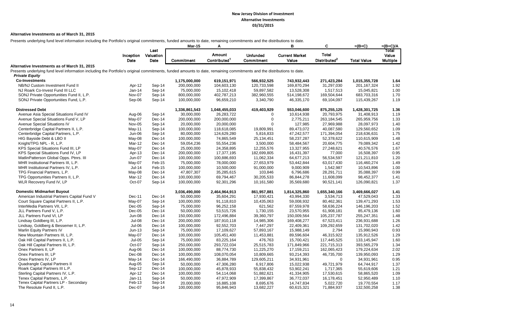#### **Alternative Investments as of March 31, 2015**

Presents underlying fund level information including the Portfolio's original commitments, funded amounts to date, remaining commitments and the distributions to date.

|                                                                                                                                                                         |                    |                           | <b>Mar-15</b> | Α                                  |                               | B                              | C                                        | $=(B+C)$           | $=(B+C)/A$                        |
|-------------------------------------------------------------------------------------------------------------------------------------------------------------------------|--------------------|---------------------------|---------------|------------------------------------|-------------------------------|--------------------------------|------------------------------------------|--------------------|-----------------------------------|
|                                                                                                                                                                         | Inception<br>Date  | Last<br>Valuation<br>Date | Commitment    | Amount<br>Contributed <sup>1</sup> | <b>Unfunded</b><br>Commitment | <b>Current Market</b><br>Value | <b>Total</b><br>Distributed <sup>2</sup> | <b>Total Value</b> | Total<br>Value<br><b>Multiple</b> |
| Alternative Investments as of March 31, 2015                                                                                                                            |                    |                           |               |                                    |                               |                                |                                          |                    |                                   |
| Presents underlying fund level information including the Portfolio's original commitments, funded amounts to date, remaining commitments and the distributions to date. |                    |                           |               |                                    |                               |                                |                                          |                    |                                   |
| <b>Private Equity</b>                                                                                                                                                   |                    |                           |               |                                    |                               |                                |                                          |                    |                                   |
| <b>Co-Investments</b>                                                                                                                                                   |                    |                           | 1,175,000,000 | 619,151,971                        | 566,932,525                   | 743,932,443                    | 271,423,284                              | 1,015,355,728      | 1.64                              |
| NB/NJ Custom Investment Fund II                                                                                                                                         | Apr-12             | Sep-14                    | 200,000,000   | 104,603,130                        | 120,733,598                   | 169,870,294                    | 31,297,030                               | 201, 167, 324      | 1.92                              |
| NJ Roark Co-Invest Fund III LLC                                                                                                                                         | $Jan-14$           | Sep-14                    | 75,000,000    | 15,102,418                         | 59,897,582                    | 13,528,308                     | 1,517,513                                | 15,045,821         | 1.00                              |
| SONJ Private Opportunities Fund II, L.P.                                                                                                                                | Nov-07             | Sep-14                    | 800,000,000   | 402,787,213                        | 382,960,555                   | 514,198,672                    | 169,504,644                              | 683,703,316        | 1.70                              |
| SONJ Private Opportunities Fund, L.P.                                                                                                                                   | Sep-06             | Sep-14                    | 100,000,000   | 96,659,210                         | 3,340,790                     | 46,335,170                     | 69,104,097                               | 115,439,267        | 1.19                              |
| <b>Distressed Debt</b>                                                                                                                                                  |                    |                           | 1,336,861,543 | 1,048,455,033                      | 419,403,929                   | 553,046,600                    | 875,255,125                              | 1,428,301,725      | 1.36                              |
| Avenue Asia Special Situations Fund IV                                                                                                                                  | Aug-06             | Sep-14                    | 30,000,000    | 26,283,722                         | $\Omega$                      | 10,614,938                     | 20,793,975                               | 31,408,913         | 1.19                              |
| Avenue Special Situations Fund V, LP                                                                                                                                    | May-07             | Dec-14                    | 200,000,000   | 200,000,000                        | $\Omega$                      | 2,775,211                      | 263,184,545                              | 265,959,756        | 1.33                              |
| Avenue Special Situations IV                                                                                                                                            | Nov-05             | Sep-14                    | 20,000,000    | 20,000,000                         | $\Omega$                      | 127,985                        | 27,969,988                               | 28,097,973         | 1.40                              |
| Centerbridge Capital Partners II, L.P.                                                                                                                                  | May-11             | Sep-14                    | 100,000,000   | 118,618,085                        | 19,809,991                    | 89,473,072                     | 40,087,580                               | 129,560,652        | 1.09                              |
| Centerbridge Capital Partners, L.P.                                                                                                                                     | Jun-06             | Sep-14                    | 80,000,000    | 124,629,280                        | 5,816,833                     | 47,242,577                     | 171,394,054                              | 218,636,631        | 1.75                              |
| HIG Bayside Debt & LBO II                                                                                                                                               | May-08             | Dec-14                    | 100,000,000   | 74,865,549                         | 25,134,451                    | 58,237,287                     | 52,378,622                               | 110,615,909        | 1.48                              |
| Knight/TPG NPL - R, L.P.                                                                                                                                                | Mar-12             | Dec-14                    | 59,054,236    | 55,554,236                         | 3,500,000                     | 58,484,567                     | 20,604,775                               | 79,089,342         | 1.42                              |
| KPS Special Situations Fund III, LP                                                                                                                                     | May-07             | Dec-14                    | 25,000,000    | 24,358,895                         | 12,255,576                    | 13,327,955                     | 27,248,621                               | 40,576,576         | 1.67                              |
| KPS Special Situations Fund IV, LP                                                                                                                                      | Apr-13             | Dec-14                    | 200,000,000   | 17,377,195                         | 182,699,805                   | 16,431,397                     | 77,000                                   | 16,508,397         | 0.95                              |
| MatlinPatterson Global Opps. Ptnrs. III                                                                                                                                 | <b>Jun-07</b>      | Dec-14                    | 100,000,000   | 100,886,693                        | 11,062,334                    | 64,677,213                     | 56,534,597                               | 121,211,810        | 1.20                              |
| MHR Institutional Partners III, L.P.                                                                                                                                    | May-07             | Feb-15                    | 75,000,000    | 78,000,000                         | 27,653,979                    | 53,442,844                     | 63,017,430                               | 116,460,274        | 1.49                              |
| MHR Institutional Partners IV, L.P.                                                                                                                                     | $Jul-14$           | Feb-15                    | 100,000,000   | 10,500,000                         | 91,000,000                    | 9,000,909                      | 1,542,987                                | 10,543,896         | 1.00                              |
| TPG Financial Partners, L.P.                                                                                                                                            | May-08             | Dec-14                    | 47,807,307    | 35,285,615                         | 103,846                       | 6,796,686                      | 28,291,711                               | 35,088,397         | 0.99                              |
| TPG Opportunities Partners II, L.P.                                                                                                                                     | Mar-12             | Dec-14                    | 100,000,000   | 69,794,467                         | 30,205,533                    | 86,844,278                     | 11,608,099                               | 98,452,377         | 1.41                              |
| WLR Recovery Fund IV, LP                                                                                                                                                | Oct-07             | Sep-14                    | 100,000,000   | 92,301,296                         | 10,161,580                    | 35,569,680                     | 90,521,141                               | 126,090,821        | 1.37                              |
|                                                                                                                                                                         |                    |                           |               |                                    |                               |                                |                                          |                    |                                   |
| <b>Domestic Midmarket Buyout</b>                                                                                                                                        |                    |                           | 3,036,490,000 | 2,464,964,913                      | 861,957,881                   | 1,814,325,860                  | 1,655,340,166                            | 3,469,666,027      | 1.41                              |
| American Industrial Partners Capital Fund V                                                                                                                             | Dec-11             | Dec-14                    | 50,000,000    | 35,604,291                         | 17,930,421                    | 43,994,330                     | 3,534,713                                | 47,529,043         | 1.33                              |
| Court Square Capital Partners II, L.P.                                                                                                                                  | May-07             | Sep-14                    | 100,000,000   | 91,118,810                         | 10,435,063                    | 59,008,932                     | 80,462,361                               | 139,471,293        | 1.53                              |
| InterMedia Partners VII, L.P.                                                                                                                                           | $Dec-05$           | Sep-14                    | 75,000,000    | 96,252,158                         | 621,562                       | 87,559,978                     | 58,636,224                               | 146,196,203        | 1.52                              |
| JLL Partners Fund V, L.P.                                                                                                                                               | $Dec-05$           | Dec-14                    | 50,000,000    | 53,515,726                         | 1,730,155                     | 23,570,955                     | 61,908,181                               | 85,479,136         | 1.60                              |
| JLL Partners Fund VI, LP                                                                                                                                                | <b>Jun-08</b>      | Dec-14                    | 150,000,000   | 172,496,884                        | 39,360,797                    | 150,009,564                    | 105,237,787                              | 255,247,351        | 1.48                              |
| Lindsay Goldberg III, L.P.                                                                                                                                              | <b>Jul-08</b>      | Dec-14                    | 200,000,000   | 187,910,118                        | 14,985,306                    | 169,408,277                    | 67,523,411                               | 236,931,688        | 1.26                              |
| Lindsay, Goldberg & Bessemer II, L.P.                                                                                                                                   | $Jul-06$           | Dec-14                    | 100,000,000   | 92,552,703                         | 7,447,297                     | 22,409,361                     | 109,292,659                              | 131,702,020        | 1.42                              |
| Marlin Equity Partners IV                                                                                                                                               | $Jun-13$           | Sep-14                    | 75,000,000    | 17,109,627                         | 57,893,167                    | 15,988,149                     | 2,794                                    | 15,990,943         | 0.93                              |
| New Mountain Partners III, L.P.                                                                                                                                         | May-07             | Dec-14                    | 100,000,000   | 105,451,400                        | 11,453,881                    | 89,596,604                     | 46,315,922                               | 135,912,526        | 1.29                              |
| Oak Hill Capital Partners II, L.P.                                                                                                                                      | $Jul-05$           | Sep-14                    | 75,000,000    | 83,225,164                         | 476,763                       | 15,700,421                     | 117,445,525                              | 133,145,947        | 1.60                              |
| Oak Hill Capital Partners III, L.P.                                                                                                                                     | Oct-07             | Sep-14                    | 250,000,000   | 293,722,034                        | 25,515,783                    | 171,849,966                    | 221,715,313                              | 393,565,279        | 1.34                              |
| Onex Partners II, LP                                                                                                                                                    | Aug-06             | Dec-14                    | 100,000,000   | 88,774,730                         | 11,225,270                    | 17,159,211                     | 162,065,423                              | 179,224,634        | 2.02                              |
| Onex Partners III, LP                                                                                                                                                   | Dec-08             | Dec-14                    | 100,000,000   | 108,070,054                        | 10,809,665                    | 93,214,393                     | 46,735,700                               | 139,950,093        | 1.29                              |
| Onex Partners IV, LP                                                                                                                                                    | $May-14$           | Dec-14                    | 166,490,000   | 36,884,789                         | 129,605,211                   | 34,931,961                     | $\Omega$                                 | 34,931,961         | 0.95                              |
| Quadrangle Capital Partners II                                                                                                                                          | Aug-05             | Sep-14                    | 50,000,000    | 47,306,280                         | 6,917,806                     | 15,022,938                     | 49,721,979                               | 64,744,917         | 1.37                              |
| Roark Capital Partners III L.P.                                                                                                                                         | Sep-12             | Dec-14                    | 100,000,000   | 45,878,933                         | 55,838,432                    | 53,902,241                     | 1,717,365                                | 55,619,606         | 1.21                              |
| Sterling Capital Partners IV, L.P.                                                                                                                                      | Apr-12             | Dec-14                    | 100,000,000   | 54,114,068                         | 51,882,621                    | 41,334,905                     | 17,530,615                               | 58,865,520         | 1.09                              |
| Tenex Capital Partners, L.P.<br>Tenex Capital Partners LP - Secondary                                                                                                   | $Jan-11$<br>Feb-13 | Sep-14                    | 50,000,000    | 47,972,909                         | 17,399,867                    | 36,772,037                     | 16,178,451                               | 52,950,489         | 1.10                              |
| The Resolute Fund II, L.P.                                                                                                                                              | Dec-07             | Sep-14<br>Sep-14          | 20,000,000    | 16,885,108                         | 8,695,676                     | 14,747,834                     | 5,022,720                                | 19,770,554         | 1.17<br>1.38                      |
|                                                                                                                                                                         |                    |                           | 100,000,000   | 95,846,943                         | 13,682,227                    | 60,615,321                     | 71,884,937                               | 132,500,258        |                                   |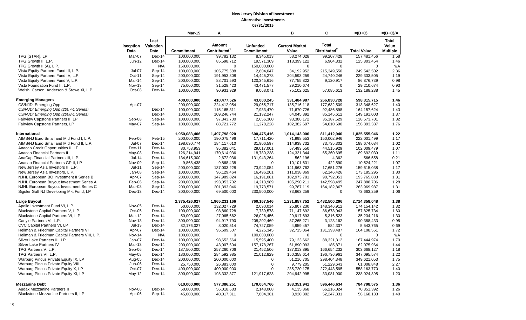|                                                 |                         |                     | <b>Mar-15</b>              | A                          |                             | B                          | C                          | $=(B+C)$                  | $=(B+C)/A$      |
|-------------------------------------------------|-------------------------|---------------------|----------------------------|----------------------------|-----------------------------|----------------------------|----------------------------|---------------------------|-----------------|
|                                                 |                         | Last                |                            |                            |                             |                            |                            |                           | Total           |
|                                                 |                         | Inception Valuation |                            | <b>Amount</b>              | <b>Unfunded</b>             | <b>Current Market</b>      | <b>Total</b>               |                           | Value           |
|                                                 | Date                    | Date                | Commitment                 | Contributed <sup>1</sup>   | Commitment                  | Value                      | Distributed <sup>2</sup>   | <b>Total Value</b>        | <b>Multiple</b> |
| TPG [STAR], LP                                  | Mar-07                  | Dec-14              | 100,000,000                | 99,782,132                 | 8,345,013                   | 58,274,028                 | 99,207,428                 | 157,481,456               | 1.58            |
| TPG Growth II, L.P.                             | Jun-12                  | Dec-14              | 100,000,000                | 85,598,712                 | 19,571,309                  | 118,399,122                | 6,904,332                  | 125,303,454               | 1.46            |
| TPG Growth III(A), L.P.                         |                         | N/A                 | 150,000,000                | $\mathbf 0$                | 150,000,000                 | $\mathbf 0$                | $\mathbf 0$                | $\mathbf 0$               | N/A             |
| Vista Equity Partners Fund III, L.P.            | Jul-07                  | Sep-14              | 100,000,000                | 105,775,588                | 2,804,047                   | 34,192,952                 | 215,349,550                | 249,542,502               | 2.36            |
| Vista Equity Partners Fund IV, L.P.             | Oct-11                  | Sep-14              | 200,000,000                | 191,953,808                | 14,445,278                  | 204,593,259                | 24,740,246                 | 229,333,505               | 1.19            |
| Vista Equity Partners Fund V, L.P.              | Mar-14                  | Sep-14              | 200,000,000                | 88,701,593                 | 120,345,616                 | 77,755,822                 | 9,120,917                  | 86,876,739                | 0.98            |
| Vista Foundation Fund II, L.P.                  | <b>Nov-13</b>           | Sep-14              | 75,000,000                 | 31,528,423                 | 43,471,577                  | 29,210,674                 | $\mathbf 0$                | 29,210,674                | 0.93            |
| Welsh, Carson, Anderson & Stowe XI, L.P.        | Oct-08                  | $Dec-14$            | 100,000,000                | 90,931,929                 | 9,068,071                   | 75,102,625                 | 57,085,613                 | 132,188,238               | 1.45            |
| <b>Emerging Managers</b>                        |                         |                     | 400,000,000                | 410,477,526                | 43,000,245                  | 331,484,987                | 266,830,728                | 598,315,715               | 1.46            |
| <b>CS/NJDI Emerging Opp</b>                     | Apr-07                  |                     | 200,000,000                | 224,412,054                | 29,065,717                  | 135,716,118                | 177,632,509                | 313,348,627               | 1.40            |
| CS/NJDI Emerging Opp (2007-1 Series)            |                         | $Dec-14$            | 100,000,000                | 115,165,311                | 7,933,470                   | 71,670,726                 | 92,486,898                 | 164, 157, 624             | 1.43            |
| CS/NJDI Emerging Opp (2008-1 Series)            |                         | Dec-14              | 100,000,000                | 109,246,744                | 21,132,247                  | 64,045,392                 | 85,145,612                 | 149,191,003               | 1.37            |
| Fairview Capstone Partners II, LP               | Sep-08                  | Sep-14              | 100,000,000                | 97,343,700                 | 2,656,300                   | 93,386,172                 | 35, 187, 529               | 128,573,701               | 1.32            |
| Fairview Capstone Partners, LP                  | May-07                  | Sep-14              | 100,000,000                | 88,721,772                 | 11,278,228                  | 102,382,697                | 54,010,690                 | 156,393,387               | 1.76            |
| International                                   |                         |                     | 1,950,083,406              | 1,497,798,920              | 600,475,416                 | 1,014,143,006              | 811,412,940                | 1,825,555,946             | 1.22            |
| AIMS/NJ Euro Small and Mid Fund I, L.P.         | Feb-06                  | Feb-15              | 200,000,000                | 190,075,496                | 17,711,420                  | 71,998,553                 | 150,002,946                | 222,001,499               | 1.17            |
| AIMS/NJ Euro Small and Mid Fund II, L.P.        | Jul-07                  | $Dec-14$            | 198,630,774                | 184,117,610                | 31,906,597                  | 114,938,732                | 73,735,302                 | 188,674,034               | 1.02            |
| Anacap Credit Opportunities II, LP              | Dec-11                  | Dec-14              | 80,753,953                 | 95,382,041                 | 29,017,001                  | 57,493,550                 | 44,515,929                 | 102,009,479               | 1.07            |
| Anacap Financial Partners II                    | May-08                  | $Dec-14$            | 126,214,941                | 170,614,036                | 18,780,238                  | 124,331,344                | 65,360,695                 | 189,692,039               | 1.11            |
| AnaCap Financial Partners III, L.P.             | $Jul-14$                | $Dec-14$            | 134,615,300                | 2,672,036                  | 131,943,264                 | 562,196                    | 4,362                      | 566,558                   | 0.21            |
| Anacap Financial Partners GP II, LP             | Nov-09                  | Sep-14              | 9,868,438                  | 9,868,438                  | $\mathbf 0$                 | 10,101,631                 | 422,590                    | 10,524,221                | 1.07            |
| New Jersey Asia Investors II, L.P.              | $Jul-11$                | Sep-14              | 200,000,000                | 137,003,228                | 73,942,054                  | 141,963,762                | 17,651,276                 | 159,615,038               | 1.17            |
| New Jersey Asia Investors, L.P.                 | Jan-08                  | Sep-14              | 100,000,000                | 96,129,464                 | 16,496,201                  | 111,038,869                | 62,146,426                 | 173,185,295               | 1.80            |
| NJHL European BO Investment II Series B         | Apr-07                  | Sep-14              | 200,000,000                | 147,989,824                | 16,191,081                  | 102,973,781                | 90,792,053                 | 193,765,833               | 1.31            |
| NJHL European Buyout Investment Series A        | Feb-06                  | Sep-14              | 200,000,000                | 193,053,702                | 14,213,989                  | 105,290,211                | 142,598,495                | 247,888,706               | 1.28            |
| NJHL European Buyout Investment Series C        | Mar-08                  | Sep-14              | 200,000,000                | 201,393,046                | 19,773,571                  | 99,787,119                 | 164, 182, 867              | 263,969,987               | 1.31            |
| Siguler Guff NJ Developing Mkt Fund, LP         | Dec-13                  | $Dec-14$            | 300,000,000                | 69,500,000                 | 230,500,000                 | 73,663,259                 | $\mathbf 0$                | 73,663,259                | 1.06            |
| Large Buyout                                    |                         |                     | 2,375,426,027              | 1,965,231,166              | 760,167,546                 | 1,231,857,752              | 1,482,500,296              | 2,714,358,048             | 1.38            |
| Apollo Investment Fund VI, L.P.                 | Nov-05                  | $Dec-14$            | 50,000,000                 | 132,027,729                | 2,090,014                   | 25,807,230                 | 148,346,912                | 174, 154, 142             | 1.32            |
| Blackstone Capital Partners V, L.P.             | Oct-05                  | $Dec-14$            | 100,000,000                | 98,860,728                 | 7,739,578                   | 71,147,692                 | 86,678,043                 | 157,825,734               | 1.60            |
| Blackstone Capital Partners VI, L.P.            | Mar-12                  | Dec-14              | 50,000,000                 | 27,065,662                 | 26,026,456                  | 29,917,693                 | 5,316,523                  | 35,234,216                | 1.30            |
| Carlyle Partners VI, L.P.                       | <b>Nov-13</b>           | Dec-14              | 300,000,000                | 94,917,790                 | 208,202,469                 | 87,265,271                 | 3,123,162                  | 90,388,433                | 0.95            |
| CVC Capital Partners VI, LP                     | $Jul-13$                | $Dec-14$            | 82,176,027                 | 8,020,514                  | 74,727,059                  | 4,959,457                  | 584,307                    | 5,543,765                 | 0.69            |
| Hellman & Friedman Capital Partners VI          | Apr-07                  | Dec-14              | 100,000,000                | 95,609,507                 | 4,225,345                   | 32,715,064                 | 131,393,487                | 164,108,551               | 1.72            |
| Hellman & Friedman Capital Partners VIII, L.P.  | <b>Nov-14</b>           | N/A                 | 100,000,000                | $\mathbf 0$                | 100,000,000                 | $\mathbf 0$                | $\mathbf 0$                | $\mathbf 0$               | N/A             |
| Silver Lake Partners III, LP                    | Jan-07                  | $Dec-14$            | 100,000,000                | 98,652,564                 | 15,595,400                  | 79,123,662                 | 88,321,312                 | 167,444,974               | 1.70            |
| Silver Lake Partners IV<br>TPG Partners V, L.P. | <b>Mar-13</b><br>Sep-06 | Dec-14<br>Dec-14    | 200,000,000<br>187,500,000 | 43,007,604                 | 157, 178, 267<br>21,452,506 | 61,890,093                 | 185,871                    | 62,075,964<br>303,668,127 | 1.44<br>1.18    |
| TPG Partners VI, L.P.                           | May-08                  | Dec-14              | 180,000,000                | 257,260,706<br>284,592,985 | 21,012,829                  | 137,013,895<br>150,358,614 | 166,654,232<br>196,736,961 | 347,095,574               | 1.22            |
| Warburg Pincus Private Equity IX, LP            | Aug-05                  | $Dec-14$            | 200,000,000                | 200,000,000                | $\mathbf 0$                 | 51,216,705                 | 298,404,348                | 349,621,053               | 1.75            |
| Warburg Pincus Private Equity VIII              | Jun-06                  | Dec-14              | 25,750,000                 | 26,883,000                 | $\mathbf 0$                 | 9,779,205                  | 51,229,643                 | 61,008,848                | 2.27            |
| Warburg Pincus Private Equity X, LP             | Oct-07                  | Dec-14              | 400,000,000                | 400,000,000                | $\Omega$                    | 285,720,175                | 272,443,595                | 558,163,770               | 1.40            |
| Warburg Pincus Private Equity XI, LP            | May-12                  | $Dec-14$            | 300,000,000                | 198,332,377                | 121,917,623                 | 204,942,995                | 33,081,900                 | 238,024,895               | 1.20            |
|                                                 |                         |                     |                            |                            |                             |                            |                            |                           |                 |
| <b>Mezzanine Debt</b>                           |                         |                     | 610,000,000                | 577,386,251                | 170,064,766                 | 188,351,941                | 596,446,634                | 784,798,575               | 1.36            |
| Audax Mezzanine Partners II                     | Nov-06                  | Dec-14              | 50,000,000                 | 56,018,683                 | 2,148,008                   | 4,135,368                  | 66,216,024                 | 70,351,392                | 1.26            |
| Blackstone Mezzanine Partners II, LP            | Apr-06                  | Sep-14              | 45,000,000                 | 40,017,311                 | 7,804,361                   | 3,920,302                  | 52,247,831                 | 56,168,133                | 1.40            |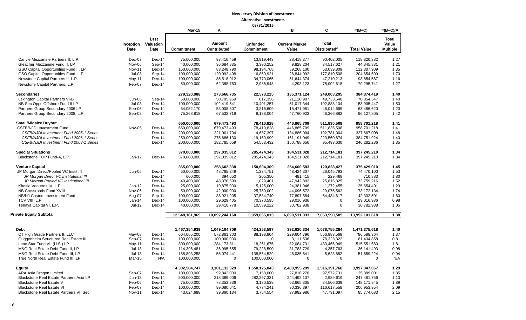|                                                                 |               |           |                |                          | 03/31/2015      |                       |                          |                    |                 |
|-----------------------------------------------------------------|---------------|-----------|----------------|--------------------------|-----------------|-----------------------|--------------------------|--------------------|-----------------|
|                                                                 |               |           | <b>Mar-15</b>  | A                        |                 | в                     | C                        | $=(B+C)$           | $=(B+C)/A$      |
|                                                                 |               | Last      |                |                          |                 |                       |                          |                    | Total           |
|                                                                 | Inception     | Valuation |                | <b>Amount</b>            | <b>Unfunded</b> | <b>Current Market</b> | <b>Total</b>             |                    | Value           |
|                                                                 | Date          | Date      | Commitment     | Contributed <sup>1</sup> | Commitment      | Value                 | Distributed <sup>2</sup> | <b>Total Value</b> |                 |
|                                                                 |               |           |                |                          |                 |                       |                          |                    | <b>Multiple</b> |
| Carlyle Mezzanine Partners II, L.P.                             | Dec-07        | Dec-14    | 75,000,000     | 93,416,459               | 13,919,443      | 28,418,377            | 90,402,005               | 118,820,382        | 1.27            |
| Gleacher Mezzanine Fund II, LP                                  | Nov-06        | Sep-14    | 40,000,000     | 36,684,835               | 3,390,252       | 9,828,204             | 34,517,627               | 44,345,831         | 1.21            |
| GSO Capital Opportunities Fund II, LP                           | <b>Nov-11</b> | Dec-14    | 150,000,000    | 83,248,790               | 98,194,768      | 59,268,100            | 53,039,809               | 112,307,909        | 1.35            |
| GSO Capital Opportunities Fund, L.P.                            | <b>Jul-08</b> | Sep-14    | 100,000,000    | 120,092,498              | 6,850,921       | 26,844,092            | 177,810,508              | 204,654,600        | 1.70            |
| Newstone Capital Partners II, L.P.                              | May-11        | $Dec-14$  | 100,000,000    | 85,518,912               | 34,770,065      | 51,644,374            | 47,210,213               | 98,854,587         | 1.16            |
| Newstone Capital Partners, L.P.                                 | Feb-07        | Dec-14    | 50,000,000     | 62,388,763               | 2,986,948       | 4,293,123             | 75,002,618               | 79,295,741         | 1.27            |
|                                                                 |               |           |                |                          |                 |                       |                          |                    |                 |
| <b>Secondaries</b>                                              |               |           | 279,320,988    | 273,666,735              | 22,573,225      | 135,371,124           | 249,003,295              | 384,374,419        | 1.40            |
| Lexington Capital Partners VI-B                                 | Jun-06        | Sep-14    | 50,000,000     | 50,705,969               | 817,356         | 21,120,907            | 49,733,640               | 70,854,547         | 1.40            |
| NB Sec Opps Offshore Fund II LP                                 | <b>Jul-08</b> | $Dec-14$  | 100,000,000    | 102,419,541              | 10,401,257      | 51,017,344            | 102,888,104              | 153,905,447        | 1.50            |
| Partners Group Secondary 2006 LP                                | Sep-06        | Dec-14    | 54,052,170     | 53,008,507               | 3,216,609       | 15,471,951            | 48,014,669               | 63,486,620         | 1.20            |
| Partners Group Secondary 2008, L.P.                             | Sep-08        | Dec-14    | 75,268,818     | 67,532,719               | 8,138,004       | 47,760,923            | 48,366,882               | 96,127,805         | 1.42            |
|                                                                 |               |           |                |                          |                 |                       |                          |                    |                 |
| <b>Small/Midsize Buyout</b><br><b>CSFB/NJDI Investment Fund</b> | Nov-05        |           | 650,000,000    | 679,473,493              | 78,410,828      | 446,865,709           | 511,835,508              | 958,701,218        | 1.41            |
|                                                                 |               | $Dec-14$  | 650,000,000    | 679,473,493              | 78,410,828      | 446,865,709           | 511,835,508              | 958,701,218        | 1.41            |
| CSFB/NJDI Investment Fund 2005-1 Series                         |               | Dec-14    | 200,000,000    | 221,001,704              | 4,687,397       | 134,886,004           | 192,781,004              | 327,667,008        | 1.48            |
| CSFB/NJDI Investment Fund 2006-1 Series                         |               | Dec-14    | 250,000,000    | 275,686,130              | 19,159,999      | 161,191,049           | 223,560,874              | 384,751,924        | 1.40            |
| CSFB/NJDI Investment Fund 2008-1 Series                         |               | Dec-14    | 200,000,000    | 182,785,659              | 54,563,432      | 150,788,656           | 95,493,630               | 246,282,286        | 1.35            |
| <b>Special Situations</b>                                       |               |           | 370,000,000    | 297,035,812              | 285,474,343     | 184,531,028           | 212,714,181              | 397,245,210        | 1.34            |
| Blackstone TOP Fund-A, L.P.                                     | $Jan-12$      | Dec-14    | 370,000,000    | 297,035,812              | 285,474,343     | 184,531,028           | 212,714,181              | 397,245,210        | 1.34            |
| <b>Venture Capital</b>                                          |               |           | 365,000,000    | 258,602,338              | 150,604,309     | 254,600,583           | 120,828,427              | 375,429,010        | 1.45            |
| JP Morgan Direct/Pooled VC Instit III                           | Jun-06        | Dec-14    | 50,000,000     | 48,765,249               | 1,234,751       | 48,424,307            | 26,045,793               | 74,470,100         | 1.53            |
| JP Morgan Direct VC Institutional III                           |               | Dec-14    | 600,000        | 394,650                  | 205,350         | 481,415               | 229,468                  | 710,883            | 1.80            |
| JP Morgan Pooled VC Institutional III                           |               | $Dec-14$  | 49,400,000     | 48,370,599               | 1,029,401       | 47,942,892            | 25,816,325               | 73,759,216         | 1.52            |
| Khosla Venutres IV, L.P.                                        | $Jan-12$      | Dec-14    | 25,000,000     | 19,875,000               | 5,125,000       | 24,381,946            | 1,272,455                | 25,654,401         | 1.29            |
| NB Crossroads Fund XVIII                                        | Nov-06        | Dec-14    | 50,000,000     | 42,000,000               | 25,750,002      | 44,096,572            | 29,075,562               | 73, 172, 134       | 1.74            |
| NB/NJ Custom Investment Fund                                    | Aug-07        | Sep-14    | 100,000,000    | 88,921,905               | 37,534,740      | 77,897,884            |                          | 142,332,501        | 1.60            |
| TCV VIII, L.P.                                                  | Jan-14        | Dec-14    | 100,000,000    | 29,629,405               | 70,370,595      | 29,016,936            | 64,434,617               | 29,016,936         | 0.98            |
|                                                                 |               |           |                |                          |                 |                       | 0                        |                    |                 |
| Tenaya Capital VI, L.P.                                         | $Jul-12$      | Dec-14    | 40,000,000     | 29,410,778               | 10,589,222      | 30,782,938            | 0                        | 30,782,938         | 1.05            |
| <b>Private Equity Subtotal</b>                                  |               |           | 12,548,181,965 | 10,092,244,160           | 3,959,065,013   | 6,898,511,033         | 7,053,590,585            | 13,952,101,618     | 1.38            |
|                                                                 |               |           |                |                          |                 |                       |                          |                    |                 |
| <b>Debt</b>                                                     |               |           | 1,467,354,939  | 1,049,104,709            | 424,253,597     | 392,620,334           | 1,078,755,284            | 1,471,375,618      | 1.40            |
| CT High Grade Partners II, LLC                                  | May-08        | $Dec-14$  | 664,065,200    | 572,861,303              | 88,198,804      | 229,604,796           | 556,983,568              | 786,588,364        | 1.37            |
| Guggenheim Structured Real Estate III                           | Sep-07        | Dec-14    | 100,000,000    | 100,000,000              | $\Omega$        | 3,111,536             | 78,323,322               | 81,434,858         | 0.81            |
| Lone Star Fund VII (U.S.) LP                                    | $May-11$      | Dec-14    | 300,000,000    | 284, 173, 311            | 18,261,675      | 82,084,731            | 433,466,949              | 515,551,680        | 1.81            |
| M&G Real Estate Debt Fund II, LP                                | $Jul-13$      | $Dec-14$  | 114,396,481    | 36,995,655               | 79,228,590      | 31,783,729            | 4,357,763                | 36,141,493         | 0.98            |
| M&G Real Estate Debt Fund III, LP                               | $Jul-13$      | Dec-14    | 188,893,258    | 55,074,441               | 138,564,529     | 46,035,541            | 5,623,682                | 51,659,224         | 0.94            |
| True North Real Estate Fund III, LP                             | Mar-15        | N/A       | 100,000,000    | $\mathbf 0$              | 100,000,000     | $\mathbf 0$           | $\mathbf 0$              | $\mathbf 0$        | N/A             |
|                                                                 |               |           |                |                          |                 |                       |                          |                    |                 |
| <b>Equity</b>                                                   |               |           | 4,302,504,747  | 3,101,132,329            | 1,550,125,043   | 2,480,955,299         | 1,516,391,768            | 3,997,347,067      | 1.29            |
| ARA Asia Dragon Limited                                         | Sep-07        | $Dec-14$  | 100,000,000    | 92,842,000               | 7,158,000       | 27,816,270            | 97,572,731               | 125,389,001        | 1.35            |
| Blackstone Real Estate Partners Asia LP                         | $Jun-13$      | Dec-14    | 500,000,000    | 218,369,006              | 282,297,331     | 244,492,137           | 2,989,619                | 247,481,756        | 1.13            |
| Blackstone Real Estate V                                        | Feb-06        | $Dec-14$  | 75,000,000     | 78,353,336               | 3,130,539       | 63,665,305            | 84,506,639               | 148,171,945        | 1.89            |
| <b>Blackstone Real Estate VI</b>                                | Feb-07        | $Dec-14$  | 100,000,000    | 99,080,641               | 4,774,241       | 90,336,397            | 116,617,558              | 206,953,954        | 2.09            |
| Blackstone Real Estate Partners VI, Sec                         | <b>Nov-11</b> | $Dec-14$  | 43,624,688     | 39,860,134               | 3,764,554       | 37,982,986            | 47,791,097               | 85,774,083         | 2.15            |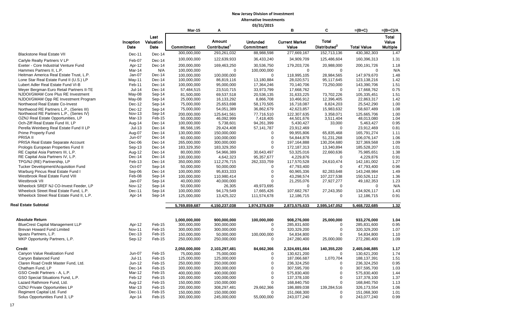|                                                                                 |                         |                           | <b>Mar-15</b>             | А                                         |                               | в                              | C                                        | =(B+C)                    | $=(B+C)/A$                        |
|---------------------------------------------------------------------------------|-------------------------|---------------------------|---------------------------|-------------------------------------------|-------------------------------|--------------------------------|------------------------------------------|---------------------------|-----------------------------------|
|                                                                                 | Inception<br>Date       | Last<br>Valuation<br>Date | Commitment                | <b>Amount</b><br>Contributed <sup>1</sup> | <b>Unfunded</b><br>Commitment | <b>Current Market</b><br>Value | <b>Total</b><br>Distributed <sup>2</sup> | <b>Total Value</b>        | Total<br>Value<br><b>Multiple</b> |
| <b>Blackstone Real Estate VII</b>                                               | Dec-11                  | Dec-14                    | 300,000,000               | 293,261,032                               | 88,988,598                    | 277,669,167                    | 152,713,136                              | 430,382,303               | 1.47                              |
| Carlyle Realty Partners V LP                                                    | Feb-07                  | Dec-14                    | 100,000,000               | 122,639,933                               | 36,433,240                    | 34,909,709                     | 125,486,604                              | 160,396,313               | 1.31                              |
| Exeter - Core Industrial Venture Fund                                           | Apr-12                  | Dec-14                    | 200,000,000               | 169,463,250                               | 30,536,750                    | 179,203,726                    | 20,988,000                               | 200, 191, 726             | 1.18                              |
| Hammes Partners II, L.P.                                                        | Mar-14                  | N/A                       | 100,000,000               | $\Omega$                                  | 100,000,000                   | $\mathbf 0$                    | $\mathbf 0$                              | $\Omega$                  | N/A                               |
| Heitman America Real Estate Trust, L.P.                                         | Jan-07                  | Dec-14                    | 100,000,000               | 100,000,000                               | $\mathbf 0$                   | 118,995,105                    | 28,984,565                               | 147,979,670               | 1.48                              |
| Lone Star Real Estate Fund II (U.S.) LP                                         | May-11                  | Dec-14                    | 100,000,000               | 86,819,116                                | 13,180,884                    | 28,020,571                     | 95,117,645                               | 123,138,216               | 1.42                              |
| Lubert Adler Real Estate Fund VI-B                                              | Feb-11                  | Dec-14                    | 100,000,000               | 95,000,000                                | 17,364,246                    | 70,140,706                     | 73,250,000                               | 143,390,706               | 1.51                              |
| Meyer Bergman Euro Retail Partners II-TE                                        | $Jul-14$                | Dec-14                    | 57,484,515                | 23,510,715                                | 33,973,799                    | 17,668,762                     | $\Omega$                                 | 17,668,762                | 0.75                              |
| NJDOI/GMAM Core Plus RE Investment                                              | May-08                  | Sep-14                    | 81,500,000                | 69,537,518                                | 20,536,135                    | 31,633,225                     | 73,702,226                               | 105,335,451               | 1.51                              |
| NJDOI/GMAM Opp RE Investment Program                                            | May-08                  | Sep-14                    | 25,000,000                | 16,133,292                                | 8,866,708                     | 10,466,912                     | 12,396,405                               | 22,863,317                | 1.42                              |
| Northwood Real Estate Co-Invest                                                 | Dec-12                  | Sep-14                    | 75,000,000                | 25,653,698                                | 58,170,505                    | 16,718,087                     | 8,824,203                                | 25,542,290                | 1.00                              |
| Northwood RE Partners L.P., (Series III)                                        | Dec-12                  | Sep-14                    | 75,000,000                | 54,051,389                                | 36,862,679                    | 42,623,857                     | 15,983,632                               | 58,607,489                | 1.08                              |
| Northwood RE Partners L.P., (Series IV)                                         | Nov-13                  | Sep-14                    | 200.000.000               | 125.641.561                               | 77.716.510                    | 122.307.635                    | 3.358.071                                | 125.665.706               | 1.00                              |
| OZNJ Real Estate Opportunities, LP                                              | Mar-13                  | Feb-15                    | 50,000,000                | 46,092,999                                | 7,418,405                     | 44,501,676                     | 3,511,404                                | 48,013,080                | 1.04                              |
| Och-Ziff Real Estate Fund III, LP                                               | Aug-14                  | Dec-14                    | 100,000,000               | 5,738,601                                 | 94,261,399                    | 5,430,427                      | 33,000                                   | 5,463,427                 | 0.95                              |
| Perella Weinberg Real Estate Fund II LP                                         | $Jul-13$                | Dec-14                    | 86,566,195                | 29,424,408                                | 57,141,787                    | 23,912,469                     | 0                                        | 23,912,469                | 0.81                              |
| <b>Prime Property Fund</b>                                                      | Aug-07                  | Dec-14                    | 130,000,000               | 150,000,000                               | $\mathbf 0$                   | 99,955,806                     | 65,835,468                               | 165,791,274               | 1.11                              |
| PRISA II                                                                        | Jun-07                  | Dec-14                    | 60,000,000                | 100,000,000                               | $\mathbf 0$                   | 54,844,878                     | 51,231,268                               | 106,076,147               | 1.06                              |
| PRISA Real Estate Separate Account                                              | Dec-06                  | Dec-14                    | 265,000,000               | 300,000,000                               | $\mathbf 0$                   | 197,164,888                    | 130,204,680                              | 327,369,568               | 1.09                              |
| Prologis European Properties Fund II                                            | Sep-13                  | Dec-14                    | 183,329,350               | 183,329,350                               | $\mathbf 0$                   | 172,187,313                    | 13,340,894                               | 185,528,207               | 1.01                              |
| RE Capital Asia Partners III, L.P.                                              | Aug-12                  | Dec-14                    | 80,000,000                | 54,966,389                                | 30,643,497                    | 53,325,016                     | 22,660,636                               | 75,985,651                | 1.38                              |
| RE Capital Asia Partners IV, L.P.                                               | Dec-14                  | Dec-14                    | 100,000,000               | 4,642,323                                 | 95,357,677                    | 4,229,876                      | $\mathbf 0$                              | 4,229,876                 | 0.91                              |
| TPG/NJ (RE) Partnership, LP                                                     | Feb-13                  | $Dec-14$                  | 350,000,000               | 112,276,715                               | 262,333,759                   | 117,570,528                    | 24,610,474                               | 142,181,002               | 1.27                              |
| Tucker Development/Acquisition Fund                                             | Oct-07                  | Sep-14                    | 50,000,000                | 50,000,000                                | 0                             | 47,793,400                     | $\mathbf 0$                              | 47,793,400                | 0.96                              |
| Warburg Pincus Real Estate Fund I                                               | Sep-06                  | Dec-14                    | 100,000,000               | 95,833,333                                | $\mathbf 0$                   | 60,965,336                     | 82,283,648                               | 143,248,984               | 1.49                              |
| Westbrook Real Estate Fund VIII<br>Westbrook VII                                | Feb-08                  | Sep-14                    | 100,000,000               | 110,980,414                               | $\mathbf 0$<br>$\Omega$       | 43,298,574                     | 107,227,538                              | 150,526,112               | 1.36                              |
|                                                                                 | Jan-07                  | Sep-14                    | 40,000,000                | 40,000,000                                |                               | 21,255,076<br>$\Omega$         | 27,927,277                               | 49,182,353<br>$\mathbf 0$ | 1.23                              |
| Wheelock SREF NJ CO-Invest Feeder, LP<br>Wheelock Street Real Estate Fund, L.P. | <b>Nov-12</b><br>Dec-11 | Sep-14<br>Sep-14          | 50,000,000<br>100,000,000 | 26,305<br>94,179,549                      | 49,973,695<br>17,665,426      | 107,682,767                    | 0<br>27,243,350                          | 134,926,117               | N/A<br>1.43                       |
| Wheelock Street Real Estate Fund II, L.P.                                       | Apr-14                  |                           | 125,000,000               | 13,425,322                                | 111,574,678                   | 12,186,715                     | $\mathbf{0}$                             | 12,186,715                | 0.91                              |
|                                                                                 |                         | Sep-14                    |                           |                                           |                               |                                |                                          |                           |                                   |
| Real Estate Subtotal                                                            |                         |                           | 5,769,859,687             | 4,150,237,038                             | 1,974,378,639                 | 2,873,575,633                  | 2,595,147,052                            | 5,468,722,685             | 1.32                              |
| <b>Absolute Return</b>                                                          |                         |                           | 1,000,000,000             | 900,000,000                               | 100,000,000                   | 908,276,000                    | 25,000,000                               | 933,276,000               | 1.04                              |
| <b>BlueCrest Capital Management LLP</b>                                         | Apr-12                  | Feb-15                    | 300,000,000               | 300,000,000                               | $\mathbf 0$                   | 285,831,600                    | $\mathbf 0$                              | 285,831,600               | 0.95                              |
| Brevan Howard Fund Limited                                                      | <b>Nov-11</b>           | Feb-15                    | 300,000,000               | 300,000,000                               | $\Omega$                      | 320,329,200                    | $\mathbf{0}$                             | 320,329,200               | 1.07                              |
| Iguazu Partners, L.P.                                                           | Dec-13                  | Feb-15                    | 150,000,000               | 50,000,000                                | 100,000,000                   | 54,834,800                     | $\Omega$                                 | 54,834,800                | 1.10                              |
| MKP Opportunity Partners, L.P.                                                  | Sep-12                  | Feb-15                    | 250,000,000               | 250,000,000                               | $\mathbf 0$                   | 247,280,400                    | 25,000,000                               | 272,280,400               | 1.09                              |
| <b>Credit</b>                                                                   |                         |                           | 2,050,000,000             | 2,103,297,481                             | 84,662,366                    | 2,324,691,664                  | 140,355,220                              | 2,465,046,885             | 1.17                              |
| Canyon Value Realization Fund                                                   | Jun-07                  | Feb-15                    | 75,000,000                | 75,000,000                                | 0                             | 130,621,200                    | $\mathbf 0$                              | 130,621,200               | 1.74                              |
| Canyon Balanced Fund                                                            | $Jul-11$                | Feb-15                    | 125,000,000               | 125,000,000                               | $\mathbf 0$                   | 187,066,687                    | 1,070,704                                | 188, 137, 391             | 1.51                              |
| Claren Road Credit Master Fund, Ltd.                                            | Jun-12                  | Feb-15                    | 250,000,000               | 250,000,000                               | $\pmb{0}$                     | 236,324,250                    | $\Omega$                                 | 236,324,250               | 0.95                              |
| Chatham Fund, LP                                                                | Dec-14                  | Feb-15                    | 300,000,000               | 300,000,000                               | $\mathbf 0$                   | 307,595,700                    | $\mathbf 0$                              | 307,595,700               | 1.03                              |
| GSO Credit Partners - A, L.P.                                                   | Mar-12                  | Feb-15                    | 400,000,000               | 400,000,000                               | $\pmb{0}$                     | 575,830,400                    | $\mathbf 0$                              | 575,830,400               | 1.44                              |
| GSO Special Situations Fund, L.P.                                               | Feb-12                  | Feb-15                    | 100,000,000               | 100,000,000                               | $\mathbf 0$                   | 137,378,100                    | $\mathbf 0$                              | 137,378,100               | 1.37                              |
| Lazard Rathmore Fund, Ltd.                                                      | Aug-12                  | Feb-15                    | 150,000,000               | 150,000,000                               | $\Omega$                      | 168,840,750                    | $\mathbf 0$                              | 168,840,750               | 1.13                              |
| OZNJ Private Opportunities LP                                                   | Mar-13                  | Feb-15                    | 200,000,000               | 308,297,481                               | 29,662,366                    | 186,889,038                    | 139,284,516                              | 326,173,554               | 1.06                              |
| Regiment Capital Ltd. Fund                                                      | Dec-11                  | Feb-15                    | 150,000,000               | 150,000,000                               | $\Omega$                      | 151,068,300                    | $\Omega$                                 | 151,068,300               | 1.01                              |
| Solus Opportunities Fund 3, LP                                                  | Apr-14                  | Feb-15                    | 300,000,000               | 245,000,000                               | 55,000,000                    | 243,077,240                    | $\mathbf 0$                              | 243,077,240               | 0.99                              |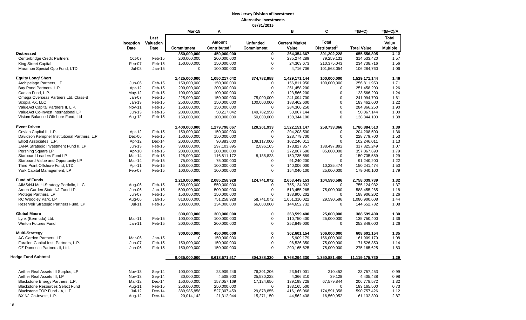|                                              |               |           | <b>Mar-15</b> | A                        |                 | в                     | C                        | $=(B+C)$           | $=(B+C)/A$ |
|----------------------------------------------|---------------|-----------|---------------|--------------------------|-----------------|-----------------------|--------------------------|--------------------|------------|
|                                              |               | Last      |               |                          |                 |                       |                          |                    | Total      |
|                                              | Inception     | Valuation |               | <b>Amount</b>            | <b>Unfunded</b> | <b>Current Market</b> | <b>Total</b>             |                    | Value      |
|                                              | Date          | Date      | Commitment    | Contributed <sup>1</sup> | Commitment      | Value                 | Distributed <sup>2</sup> | <b>Total Value</b> | Multiple   |
| <b>Distressed</b>                            |               |           | 350,000,000   | 450,000,000              | $\bf{0}$        | 264,354,667           | 391,202,228              | 655,556,895        | 1.46       |
| Centerbridge Credit Partners                 | Oct-07        | Feb-15    | 200,000,000   | 200,000,000              | $\mathbf 0$     | 235,274,289           | 79,259,131               | 314,533,420        | 1.57       |
| King Street Capital                          | Feb-07        | Feb-15    | 150,000,000   | 150,000,000              | $\mathbf 0$     | 24,363,673            | 210,375,043              | 234,738,716        | 1.56       |
| Marathon Special Opp Fund, LTD               | <b>Jul-08</b> | $Jan-15$  | $\mathbf 0$   | 100,000,000              | $\mathbf 0$     | 4,716,706             | 101,568,054              | 106,284,760        | 1.06       |
|                                              |               |           |               |                          |                 |                       |                          |                    |            |
| <b>Equity Long/ Short</b>                    |               |           | 1,425,000,000 | 1,050,217,042            | 374,782,958     | 1,429,171,144         | 100,000,000              | 1,529,171,144      | 1.46       |
| Archipelago Partners, LP                     | Jun-06        | Feb-15    | 150,000,000   | 150,000,000              | $\mathbf 0$     | 156,811,950           | 100,000,000              | 256,811,950        | 1.71       |
| Bay Pond Partners, L.P.                      | Apr-12        | Feb-15    | 200,000,000   | 200,000,000              | $\mathbf 0$     | 251,458,200           | 0                        | 251,458,200        | 1.26       |
| Cadian Fund, L.P.                            | May-12        | Feb-15    | 100,000,000   | 100,000,000              | $\mathbf 0$     | 123,566,200           | $\mathbf 0$              | 123,566,200        | 1.24       |
| Omega Overseas Partners Ltd. Class-B         | Jan-07        | Feb-15    | 225,000,000   | 150,000,000              | 75,000,000      | 241,094,700           | $\mathbf 0$              | 241,094,700        | 1.61       |
| Scopia PX, LLC                               | $Jan-13$      | Feb-15    | 250,000,000   | 150,000,000              | 100,000,000     | 183,462,600           | 0                        | 183,462,600        | 1.22       |
| ValueAct Capital Partners II, L.P.           | <b>Nov-11</b> | Feb-15    | 150,000,000   | 150,000,000              | 0               | 284,366,250           | $\Omega$                 | 284,366,250        | 1.90       |
| ValueAct Co-Invest International LP          | $Jun-13$      | Feb-15    | 200,000,000   | 50,217,042               | 149,782,958     | 50,067,144            | 0                        | 50,067,144         | 1.00       |
| Visium Balanced Offshore Fund, Ltd           | Aug-12        | Feb-15    | 150,000,000   | 100,000,000              | 50,000,000      | 138,344,100           | 0                        | 138,344,100        | 1.38       |
|                                              |               |           |               |                          |                 |                       |                          |                    |            |
| <b>Event Driven</b>                          |               |           | 1,400,000,000 | 1,279,798,067            | 120,201,933     | 1,522,151,147         | 258,733,366              | 1,780,884,513      | 1.39       |
| Cevian Capital II, L.P.                      | Apr-12        | Feb-15    | 150,000,000   | 150,000,000              | $\mathbf 0$     | 204,208,500           | $\mathbf 0$              | 204,208,500        | 1.36       |
| Davidson Kempner Institutional Partners, L.P | Dec-06        | Feb-15    | 150,000,000   | 150,000,000              | $\mathbf 0$     | 228,779,700           | $\mathbf 0$              | 228,779,700        | 1.53       |
| Elliott Associates, L.P.                     | Apr-12        | Dec-14    | 200,000,000   | 90,883,000               | 109,117,000     | 102,246,011           | $\mathbf 0$              | 102,246,011        | 1.13       |
| JANA Strategic Investment Fund II, LP        | $Jun-13$      | Feb-15    | 300,000,000   | 297,103,895              | 2,896,105       | 178,827,357           | 138,497,892              | 317,325,249        | 1.07       |
| Pershing Square LP                           | Apr-10        | Feb-15    | 200,000,000   | 200,000,000              | $\mathbf 0$     | 272,067,690           | 85,000,000               | 357,067,690        | 1.79       |
| Starboard Leaders Fund LP                    | Mar-14        | Feb-15    | 125,000,000   | 116,811,172              | 8,188,828       | 150,735,589           | $\Omega$                 | 150,735,589        | 1.29       |
| Starboard Value and Opportunity LP           | Mar-14        | Feb-15    | 75,000,000    | 75,000,000               | 0               | 91,240,200            | $\mathbf 0$              | 91,240,200         | 1.22       |
| Third Point Offshore Fund, LTD.              | Apr-11        | Feb-15    | 100,000,000   | 100,000,000              | $\mathbf 0$     | 140,006,000           | 10,235,474               | 150,241,474        | 1.50       |
| York Capital Management, LP                  | Feb-07        | Feb-15    | 100,000,000   | 100,000,000              | $\mathbf 0$     | 154,040,100           | 25,000,000               | 179,040,100        | 1.79       |
| <b>Fund of Funds</b>                         |               |           | 2,210,000,000 | 2,085,258,928            | 124,741,072     | 2,653,449,153         | 104,590,586              | 2,758,039,739      | 1.32       |
| AIMS/NJ Multi-Strategy Portfolio, LLC        | Aug-06        | Feb-15    | 550,000,000   | 550,000,000              | $\mathbf 0$     | 755,124,932           | $\Omega$                 | 755,124,932        | 1.37       |
| Arden Garden State NJ Fund LP.               | Jun-06        | $Jan-15$  | 500,000,000   | 500,000,000              | $\mathbf 0$     | 513,455,265           | 75,000,000               | 588,455,265        | 1.18       |
| Protege Partners, LP                         | <b>Jun-07</b> | Feb-15    | 150,000,000   | 150,000,000              | $\mathbf 0$     | 188,906,202           | $\mathbf 0$              | 188,906,202        | 1.26       |
| RC Woodley Park, LP                          | Aug-06        | $Jan-15$  | 810,000,000   | 751,258,928              | 58,741,072      | 1,051,310,022         | 29,590,586               | 1,080,900,608      | 1.44       |
| Reservoir Strategic Partners Fund, LP        | $Jul-11$      | Feb-15    | 200,000,000   | 134,000,000              | 66,000,000      | 144,652,732           | $\mathbf 0$              | 144,652,732        | 1.08       |
|                                              |               |           |               |                          |                 |                       |                          |                    |            |
| <b>Global Macro</b>                          |               |           | 300,000,000   | 300,000,000              | $\bf{0}$        | 363,599,400           | 25,000,000               | 388,599,400        | 1.30       |
| Lynx (Bermuda) Ltd.                          | Mar-11        | Feb-15    | 100,000,000   | 100,000,000              | $\mathbf 0$     | 110,750,400           | 25,000,000               | 135,750,400        | 1.36       |
| Winton Futures Fund                          | $Jan-11$      | Feb-15    | 200,000,000   | 200,000,000              | $\mathbf 0$     | 252,849,000           | $\mathbf 0$              | 252,849,000        | 1.26       |
| <b>Multi-Strategy</b>                        |               |           | 300,000,000   | 450,000,000              | $\bf{0}$        | 302,601,154           | 306,000,000              | 608,601,154        | 1.35       |
| AG Garden Partners, LP                       | Mar-06        | $Jan-15$  | $\mathbf 0$   | 150,000,000              | $\mathbf 0$     | 5,909,179             | 156,000,000              | 161,909,179        | 1.08       |
| Farallon Capital Inst. Partners, L.P.        | Jun-07        | Feb-15    | 150,000,000   | 150,000,000              | $\mathbf 0$     | 96,526,350            | 75,000,000               | 171,526,350        | 1.14       |
| OZ Domestic Partners II, Ltd.                | Jun-06        | Feb-15    | 150,000,000   | 150,000,000              | $\mathbf 0$     | 200, 165, 625         | 75,000,000               | 275,165,625        | 1.83       |
|                                              |               |           |               |                          |                 |                       |                          |                    |            |
| <b>Hedge Fund Subtotal</b>                   |               |           | 9,035,000,000 | 8,618,571,517            | 804,388,330     | 9,768,294,330         | 1,350,881,400            | 11,119,175,730     | 1.29       |
|                                              |               |           |               |                          |                 |                       |                          |                    |            |
| Aether Real Assets III Surplus, LP           | <b>Nov-13</b> | Sep-14    | 100,000,000   | 23,909,246               | 76,301,206      | 23,547,001            | 210,452                  | 23,757,453         | 0.99       |
| Aether Real Assets III, LP                   | <b>Nov-13</b> | Sep-14    | 30,000,000    | 4,508,900                | 25,530,228      | 4,366,310             | 39,128                   | 4,405,438          | 0.98       |
| Blackstone Energy Partners, L.P.             | Mar-12        | Dec-14    | 150,000,000   | 157,057,169              | 17,124,656      | 139,198,728           | 67,579,844               | 206,778,572        | 1.32       |
| <b>Blackstone Resources Select Fund</b>      | Aug-11        | Feb-15    | 250,000,000   | 250,000,000              | $\Omega$        | 183,165,500           | $\Omega$                 | 183, 165, 500      | 0.73       |
| Blackstone TOP Fund - A, L.P.                | Jul-12        | $Dec-14$  | 389,985,858   | 527,307,459              | 29,878,855      | 416,166,068           | 174,591,358              | 590,757,426        | 1.12       |
| BX NJ Co-Invest, L.P.                        | Aug-12        | $Dec-14$  | 20,014,142    | 21,312,944               | 15,271,150      | 44,562,438            | 16,569,952               | 61,132,390         | 2.87       |
|                                              |               |           |               |                          |                 |                       |                          |                    |            |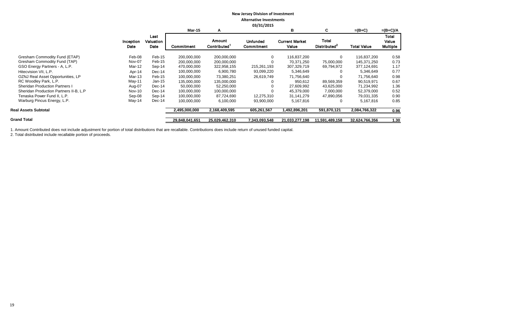|                                        |                   |                           |                |                              | <b>US/31/ZUIS</b>             |                                |                                          |                    |                                   |
|----------------------------------------|-------------------|---------------------------|----------------|------------------------------|-------------------------------|--------------------------------|------------------------------------------|--------------------|-----------------------------------|
|                                        |                   |                           | <b>Mar-15</b>  | A                            |                               | в                              | C                                        | $=(B+C)$           | $=(B+C)/A$                        |
|                                        | Inception<br>Date | Last<br>Valuation<br>Date | Commitment     | Amount<br><b>Contributed</b> | <b>Unfunded</b><br>Commitment | <b>Current Market</b><br>Value | <b>Total</b><br>Distributed <sup>2</sup> | <b>Total Value</b> | Total<br>Value<br><b>Multiple</b> |
| Gresham Commodity Fund (ETAP)          | Feb-08            | Feb-15                    | 200.000.000    | 200,000,000                  | $\Omega$                      | 116,837,200                    | $\mathbf 0$                              | 116,837,200        | 0.58                              |
| Gresham Commodity Fund (TAP)           | Nov-07            | Feb-15                    | 200,000,000    | 200,000,000                  |                               | 70,371,250                     | 75,000,000                               | 145,371,250        | 0.73                              |
| GSO Energy Partners - A, L.P.          | Mar-12            | Sep-14                    | 470,000,000    | 322,958,155                  | 215,261,193                   | 307,329,719                    | 69,794,972                               | 377,124,691        | 1.17                              |
| Hitecvision VII, L.P.                  | Apr-14            | $Dec-14$                  | 100,000,000    | 6,900,780                    | 93,099,220                    | 5,346,649                      | 0                                        | 5,346,649          | 0.77                              |
| OZNJ Real Asset Opportunities, LP      | Mar-13            | Feb-15                    | 100,000,000    | 73,380,251                   | 26,619,749                    | 71,756,640                     |                                          | 71,756,640         | 0.98                              |
| RC Woodley Park, L.P.                  | $May-11$          | $Jan-15$                  | 135,000,000    | 135,000,000                  |                               | 950,612                        | 89,569,359                               | 90,519,971         | 0.67                              |
| <b>Sheridan Production Partners I</b>  | Aug-07            | Dec-14                    | 50,000,000     | 52,250,000                   |                               | 27,609,992                     | 43,625,000                               | 71,234,992         | 1.36                              |
| Sheridan Production Partners II-B, L.P | Nov-10            | Dec-14                    | 100,000,000    | 100,000,000                  |                               | 45,379,000                     | 7,000,000                                | 52,379,000         | 0.52                              |
| Tenaska Power Fund II, L.P.            | Sep-08            | Sep-14                    | 100,000,000    | 87,724,690                   | 12,275,310                    | 31,141,279                     | 47,890,056                               | 79,031,335         | 0.90                              |
| Warburg Pincus Energy, L.P.            | May-14            | Dec-14                    | 100,000,000    | 6,100,000                    | 93,900,000                    | 5,167,816                      | 0                                        | 5,167,816          | 0.85                              |
| <b>Real Assets Subtotal</b>            |                   |                           | 2,495,000,000  | 2,168,409,595                | 605,261,567                   | 1,492,896,201                  | 591,870,121                              | 2,084,766,322      | 0.96                              |
| <b>Grand Total</b>                     |                   |                           | 29,848,041,651 | 25,029,462,310               | 7,343,093,548                 | 21,033,277,198                 | 11,591,489,158                           | 32,624,766,356     | 1.30                              |
|                                        |                   |                           |                |                              |                               |                                |                                          |                    |                                   |

1. Amount Contributed does not include adjustment for portion of total distributions that are recallable. Contributions does include return of unused funded capital.

2. Total distributed include recallable portion of proceeds.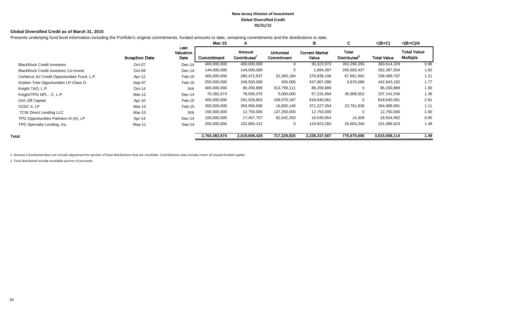#### **New Jersey Division of Investment Global Diversified Credit 03/31/15**

#### **Global Diversified Credit as of March 31, 2015**

Presents underlying fund level information including the Portfolio's original commitments, funded amounts to date, remaining commitments and the distributions to date.

|                                             |                       |                           | Mar-15        | A                                  |                                      | в                              | C                                 | $=(B+C)$           | $=(B+C)/A$                     |
|---------------------------------------------|-----------------------|---------------------------|---------------|------------------------------------|--------------------------------------|--------------------------------|-----------------------------------|--------------------|--------------------------------|
|                                             | <b>Inception Date</b> | Last<br>Valuation<br>Date | Commitment    | Amount<br>Contributed <sup>1</sup> | <b>Unfunded</b><br><b>Commitment</b> | <b>Current Market</b><br>Value | Total<br>Distributed <sup>2</sup> | <b>Total Value</b> | Total Value<br><b>Multiple</b> |
| <b>BlackRock Credit Investors</b>           | Oct-07                | $Dec-14$                  | 400,000,000   | 400,000,000                        | 0                                    | 30,323,973                     | 353,290,356                       | 383,614,329        | 0.96                           |
| <b>BlackRock Credit Investors Co-Invest</b> | Oct-09                | Dec-14                    | 144,000,000   | 144,000,000                        | 0                                    | 1,694,397                      | 260,693,437                       | 262,387,834        | 1.82                           |
| Cerberus NJ Credit Opportunities Fund, L.P. | Apr-12                | Feb-15                    | 300,000,000   | 280,472,637                        | 52,363,184                           | 270,838,106                    | 67,661,692                        | 338,499,797        | 1.21                           |
| Golden Tree Opportunities LP-Class D        | Sep-07                | Feb-15                    | 250,000,000   | 249,500,000                        | 500,000                              | 437,967,096                    | 4,676,086                         | 442,643,182        | 1.77                           |
| Knight TAO, L.P.                            | $Oct-14$              | N/A                       | 400,000,000   | 86,200,889                         | 313,799,111                          | 86,200,889                     | 0                                 | 86,200,889         | 1.00                           |
| Knight/TPG NPL - C, L.P.                    | Mar-12                | $Dec-14$                  | 70,382,674    | 78,556,376                         | 5,000,000                            | 67,231,994                     | 39,909,552                        | 107,141,546        | 1.36                           |
| Och Ziff Capital                            | Apr-10                | Feb-15                    | 400,000,000   | 291,029,803                        | 108,970,197                          | 818,640,061                    | $\mathbf 0$                       | 818,640,061        | 2.81                           |
| OZSC II, LP                                 | Mar-13                | Feb-15                    | 350,000,000   | 356,956,696                        | 16,805,140                           | 371,227,054                    | 23,761,836                        | 394,988,891        | 1.11                           |
| <b>TCW Direct Lending LLC</b>               | Mar-15                | N/A                       | 150,000,000   | 12,750,000                         | 137,250,000                          | 12,750,000                     | $\mathbf 0$                       | 12,750,000         | 1.00                           |
| TPG Opportunities Partners III (A), LP      | Apr-14                | Dec-14                    | 100,000,000   | 17,457,707                         | 82,542,293                           | 16,540,654                     | 14,308                            | 16,554,962         | 0.95                           |
| TPG Specialty Lending, Inc.                 | May-11                | Sep-14                    | 200,000,000   | 102,684,312                        | 0                                    | 124,923,283                    | 26,663,340                        | 151,586,623        | 1.48                           |
| Total                                       |                       |                           | 2,764,382,674 | 2,019,608,420                      | 717,229,925                          | 2,238,337,507                  | 776,670,606                       | 3,015,008,114      | 1.49                           |

1. Amount Contributed does not include adjustment for portion of total distributions that are recallable. Contributions does include return of unused funded capital.

2. Total distributed include recallable portion of proceeds.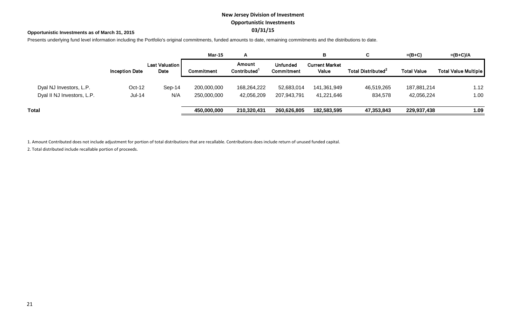# **New Jersey Division of Investment Opportunistic Investments 03/31/15**

#### **Opportunistic Investments as of March 31, 2015**

Presents underlying fund level information including the Portfolio's original commitments, funded amounts to date, remaining commitments and the distributions to date.

|                            |                       |                               | <b>Mar-15</b> | A                                  |                        | в                              | C                              | $=(B+C)$           | $=(B+C)/A$           |
|----------------------------|-----------------------|-------------------------------|---------------|------------------------------------|------------------------|--------------------------------|--------------------------------|--------------------|----------------------|
|                            | <b>Inception Date</b> | <b>Last Valuation</b><br>Date | Commitment    | Amount<br>Contributed <sup>1</sup> | Unfunded<br>Commitment | <b>Current Market</b><br>Value | Total Distributed <sup>2</sup> | <b>Total Value</b> | Total Value Multiple |
| Dyal NJ Investors, L.P.    | Oct-12                | $Sep-14$                      | 200,000,000   | 168,264,222                        | 52,683,014             | 141,361,949                    | 46,519,265                     | 187,881,214        | 1.12                 |
| Dyal II NJ Investors, L.P. | Jul-14                | N/A                           | 250,000,000   | 42,056,209                         | 207,943,791            | 41,221,646                     | 834,578                        | 42,056,224         | 1.00                 |
| Total                      |                       |                               | 450,000,000   | 210,320,431                        | 260,626,805            | 182,583,595                    | 47,353,843                     | 229,937,438        | 1.09                 |

1. Amount Contributed does not include adjustment for portion of total distributions that are recallable. Contributions does include return of unused funded capital.

2. Total distributed include recallable portion of proceeds.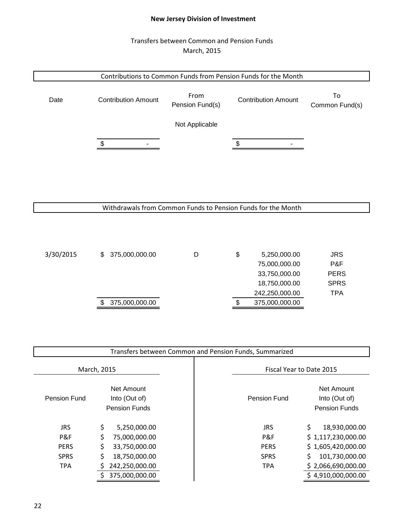# **New Jersey Division of Investment**

# Transfers between Common and Pension Funds March, 2015



Withdrawals from Common Funds to Pension Funds for the Month

| 3/30/2015 | 375,000,000.00<br>S. | D | \$<br>5,250,000.00 | <b>JRS</b>  |
|-----------|----------------------|---|--------------------|-------------|
|           |                      |   | 75,000,000.00      | P&F         |
|           |                      |   | 33,750,000.00      | <b>PERS</b> |
|           |                      |   | 18,750,000.00      | <b>SPRS</b> |
|           |                      |   | 242,250,000.00     | TPA         |
|           | 375,000,000.00       |   | 375,000,000.00     |             |
|           |                      |   |                    |             |

|              | Transfers between Common and Pension Funds, Summarized     |                          |                                                     |  |  |  |  |  |
|--------------|------------------------------------------------------------|--------------------------|-----------------------------------------------------|--|--|--|--|--|
|              | March, 2015                                                | Fiscal Year to Date 2015 |                                                     |  |  |  |  |  |
| Pension Fund | <b>Net Amount</b><br>Into (Out of)<br><b>Pension Funds</b> | Pension Fund             | Net Amount<br>Into (Out of)<br><b>Pension Funds</b> |  |  |  |  |  |
| <b>JRS</b>   | \$<br>5,250,000.00                                         | JRS                      | \$<br>18,930,000.00                                 |  |  |  |  |  |
| P&F          | \$<br>75,000,000.00                                        | P&F                      | \$1,117,230,000.00                                  |  |  |  |  |  |
| <b>PERS</b>  | \$<br>33,750,000.00                                        | <b>PERS</b>              | \$1,605,420,000.00                                  |  |  |  |  |  |
| <b>SPRS</b>  | \$<br>18,750,000.00                                        | <b>SPRS</b>              | 101,730,000.00<br>S                                 |  |  |  |  |  |
| <b>TPA</b>   | 242,250,000.00                                             | <b>TPA</b>               | \$2,066,690,000.00                                  |  |  |  |  |  |
|              | 375,000,000.00                                             |                          | \$4,910,000,000.00                                  |  |  |  |  |  |